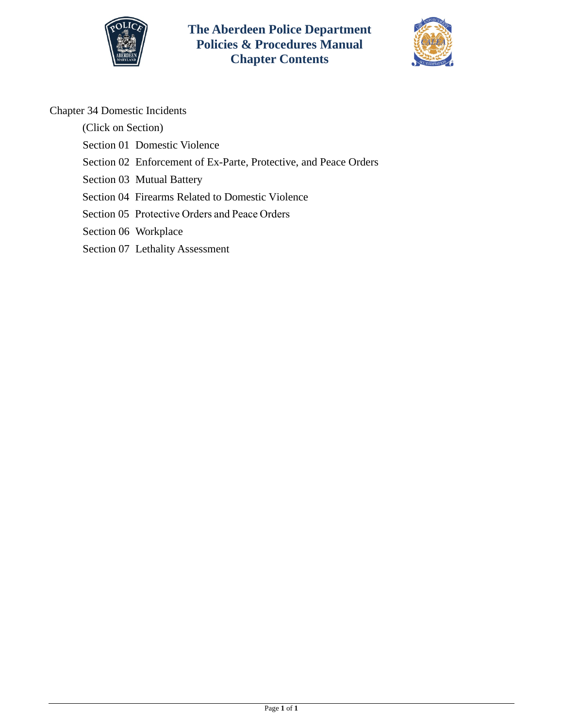

**The Aberdeen Police Department Policies & Procedures Manual Chapter Contents**



# Chapter 34 Domestic Incidents

(Click on Section)

- [Section 01 Domestic Violence](#page-1-0)
- [Section 02 Enforcement of Ex-Parte, Protective, and Peace Orders](#page-8-0)
- [Section 03 Mutual Battery](#page-11-0)
- [Section 04 Firearms Related to Domestic Violence](#page-13-0)
- Section 05 [Protective Order](#page-16-0)s and Peace Orders
- [Section 06 Workplace](#page-20-0)
- [Section 07 Lethality Assessment](#page-24-0)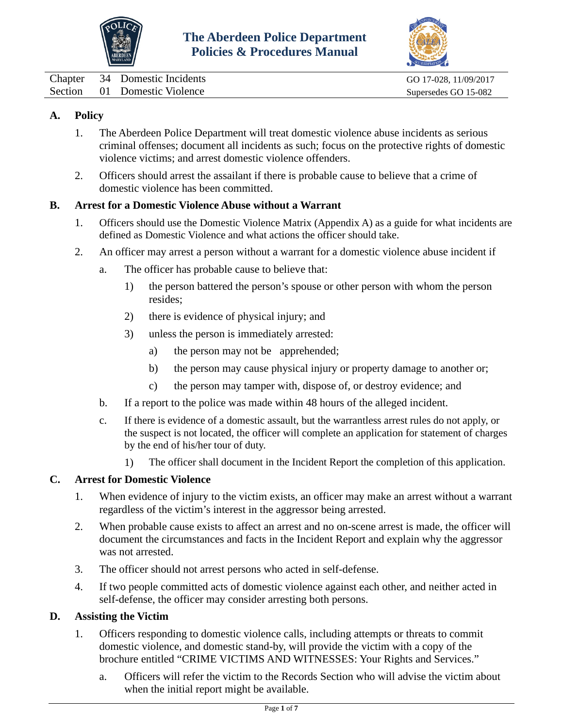



<span id="page-1-0"></span>

|  | Chapter 34 Domestic Incidents | GO 17-028, 11/09/2017 |
|--|-------------------------------|-----------------------|
|  | Section 01 Domestic Violence  | Supersedes GO 15-082  |

## **A. Policy**

- 1. The Aberdeen Police Department will treat domestic violence abuse incidents as serious criminal offenses; document all incidents as such; focus on the protective rights of domestic violence victims; and arrest domestic violence offenders.
- 2. Officers should arrest the assailant if there is probable cause to believe that a crime of domestic violence has been committed.

## **B. Arrest for a Domestic Violence Abuse without a Warrant**

- 1. Officers should use the Domestic Violence Matrix (Appendix A) as a guide for what incidents are defined as Domestic Violence and what actions the officer should take.
- 2. An officer may arrest a person without a warrant for a domestic violence abuse incident if
	- a. The officer has probable cause to believe that:
		- 1) the person battered the person's spouse or other person with whom the person resides;
		- 2) there is evidence of physical injury; and
		- 3) unless the person is immediately arrested:
			- a) the person may not be apprehended;
			- b) the person may cause physical injury or property damage to another or;
			- c) the person may tamper with, dispose of, or destroy evidence; and
	- b. If a report to the police was made within 48 hours of the alleged incident.
	- c. If there is evidence of a domestic assault, but the warrantless arrest rules do not apply, or the suspect is not located, the officer will complete an application for statement of charges by the end of his/her tour of duty.
		- 1) The officer shall document in the Incident Report the completion of this application.

## **C. Arrest for Domestic Violence**

- 1. When evidence of injury to the victim exists, an officer may make an arrest without a warrant regardless of the victim's interest in the aggressor being arrested.
- 2. When probable cause exists to affect an arrest and no on-scene arrest is made, the officer will document the circumstances and facts in the Incident Report and explain why the aggressor was not arrested.
- 3. The officer should not arrest persons who acted in self-defense.
- 4. If two people committed acts of domestic violence against each other, and neither acted in self-defense, the officer may consider arresting both persons.

## **D. Assisting the Victim**

- 1. Officers responding to domestic violence calls, including attempts or threats to commit domestic violence, and domestic stand-by, will provide the victim with a copy of the brochure entitled "CRIME VICTIMS AND WITNESSES: Your Rights and Services."
	- a. Officers will refer the victim to the Records Section who will advise the victim about when the initial report might be available.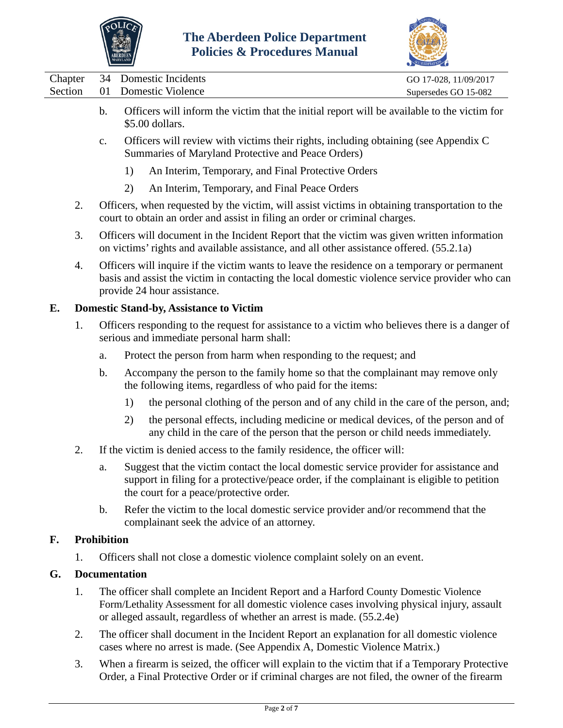



|         |         |                    | <b>MARYLAND</b>      |                                                                                                                                                                                                                                                                | ACCREDITATION         |
|---------|---------|--------------------|----------------------|----------------------------------------------------------------------------------------------------------------------------------------------------------------------------------------------------------------------------------------------------------------|-----------------------|
|         | Chapter | 34                 |                      | <b>Domestic Incidents</b>                                                                                                                                                                                                                                      | GO 17-028, 11/09/2017 |
| Section |         | 01                 |                      | <b>Domestic Violence</b>                                                                                                                                                                                                                                       | Supersedes GO 15-082  |
|         |         | $\mathbf b$ .      |                      | Officers will inform the victim that the initial report will be available to the victim for<br>\$5.00 dollars.                                                                                                                                                 |                       |
|         |         | $\mathbf{c}$ .     |                      | Officers will review with victims their rights, including obtaining (see Appendix C)<br>Summaries of Maryland Protective and Peace Orders)                                                                                                                     |                       |
|         |         |                    | 1)                   | An Interim, Temporary, and Final Protective Orders                                                                                                                                                                                                             |                       |
|         |         |                    | 2)                   | An Interim, Temporary, and Final Peace Orders                                                                                                                                                                                                                  |                       |
|         | 2.      |                    |                      | Officers, when requested by the victim, will assist victims in obtaining transportation to the<br>court to obtain an order and assist in filing an order or criminal charges.                                                                                  |                       |
|         | 3.      |                    |                      | Officers will document in the Incident Report that the victim was given written information<br>on victims' rights and available assistance, and all other assistance offered. (55.2.1a)                                                                        |                       |
|         | 4.      |                    |                      | Officers will inquire if the victim wants to leave the residence on a temporary or permanent<br>basis and assist the victim in contacting the local domestic violence service provider who can<br>provide 24 hour assistance.                                  |                       |
| Е.      |         |                    |                      | <b>Domestic Stand-by, Assistance to Victim</b>                                                                                                                                                                                                                 |                       |
|         | 1.      |                    |                      | Officers responding to the request for assistance to a victim who believes there is a danger of<br>serious and immediate personal harm shall:                                                                                                                  |                       |
|         |         | a.                 |                      | Protect the person from harm when responding to the request; and                                                                                                                                                                                               |                       |
|         |         | $\mathbf b$ .      |                      | Accompany the person to the family home so that the complainant may remove only<br>the following items, regardless of who paid for the items:                                                                                                                  |                       |
|         |         |                    | 1)                   | the personal clothing of the person and of any child in the care of the person, and;                                                                                                                                                                           |                       |
|         |         |                    | 2)                   | the personal effects, including medicine or medical devices, of the person and of<br>any child in the care of the person that the person or child needs immediately.                                                                                           |                       |
|         | 2.      |                    |                      | If the victim is denied access to the family residence, the officer will:                                                                                                                                                                                      |                       |
|         |         | a.                 |                      | Suggest that the victim contact the local domestic service provider for assistance and<br>support in filing for a protective/peace order, if the complainant is eligible to petition<br>the court for a peace/protective order.                                |                       |
|         |         | b.                 |                      | Refer the victim to the local domestic service provider and/or recommend that the<br>complainant seek the advice of an attorney.                                                                                                                               |                       |
| F.      |         | <b>Prohibition</b> |                      |                                                                                                                                                                                                                                                                |                       |
|         | 1.      |                    |                      | Officers shall not close a domestic violence complaint solely on an event.                                                                                                                                                                                     |                       |
| G.      |         |                    | <b>Documentation</b> |                                                                                                                                                                                                                                                                |                       |
|         | 1.      |                    |                      | The officer shall complete an Incident Report and a Harford County Domestic Violence<br>Form/Lethality Assessment for all domestic violence cases involving physical injury, assault<br>or alleged assault, regardless of whether an arrest is made. (55.2.4e) |                       |
|         | 2.      |                    |                      | The officer shall document in the Incident Report an explanation for all domestic violence<br>cases where no arrest is made. (See Appendix A, Domestic Violence Matrix.)                                                                                       |                       |
|         | 3.      |                    |                      | When a firearm is seized, the officer will explain to the victim that if a Temporary Protective                                                                                                                                                                |                       |

Order, a Final Protective Order or if criminal charges are not filed, the owner of the firearm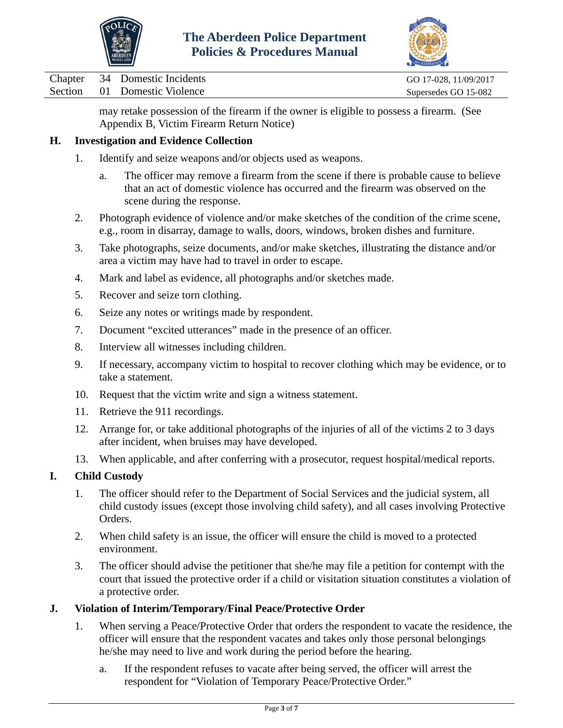



Chapter 34 Domestic Incidents GO 17-028, 11/09/2017

Section 01 Domestic Violence Supersedes GO 15-082

may retake possession of the firearm if the owner is eligible to possess a firearm. (See Appendix B, Victim Firearm Return Notice)

## **H. Investigation and Evidence Collection**

- 1. Identify and seize weapons and/or objects used as weapons.
	- a. The officer may remove a firearm from the scene if there is probable cause to believe that an act of domestic violence has occurred and the firearm was observed on the scene during the response.
- 2. Photograph evidence of violence and/or make sketches of the condition of the crime scene, e.g., room in disarray, damage to walls, doors, windows, broken dishes and furniture.
- 3. Take photographs, seize documents, and/or make sketches, illustrating the distance and/or area a victim may have had to travel in order to escape.
- 4. Mark and label as evidence, all photographs and/or sketches made.
- 5. Recover and seize torn clothing.
- 6. Seize any notes or writings made by respondent.
- 7. Document "excited utterances" made in the presence of an officer.
- 8. Interview all witnesses including children.
- 9. If necessary, accompany victim to hospital to recover clothing which may be evidence, or to take a statement.
- 10. Request that the victim write and sign a witness statement.
- 11. Retrieve the 911 recordings.
- 12. Arrange for, or take additional photographs of the injuries of all of the victims 2 to 3 days after incident, when bruises may have developed.
- 13. When applicable, and after conferring with a prosecutor, request hospital/medical reports.

# **I. Child Custody**

- 1. The officer should refer to the Department of Social Services and the judicial system, all child custody issues (except those involving child safety), and all cases involving Protective Orders.
- 2. When child safety is an issue, the officer will ensure the child is moved to a protected environment.
- 3. The officer should advise the petitioner that she/he may file a petition for contempt with the court that issued the protective order if a child or visitation situation constitutes a violation of a protective order.

## **J. Violation of Interim/Temporary/Final Peace/Protective Order**

- 1. When serving a Peace/Protective Order that orders the respondent to vacate the residence, the officer will ensure that the respondent vacates and takes only those personal belongings he/she may need to live and work during the period before the hearing.
	- a. If the respondent refuses to vacate after being served, the officer will arrest the respondent for "Violation of Temporary Peace/Protective Order."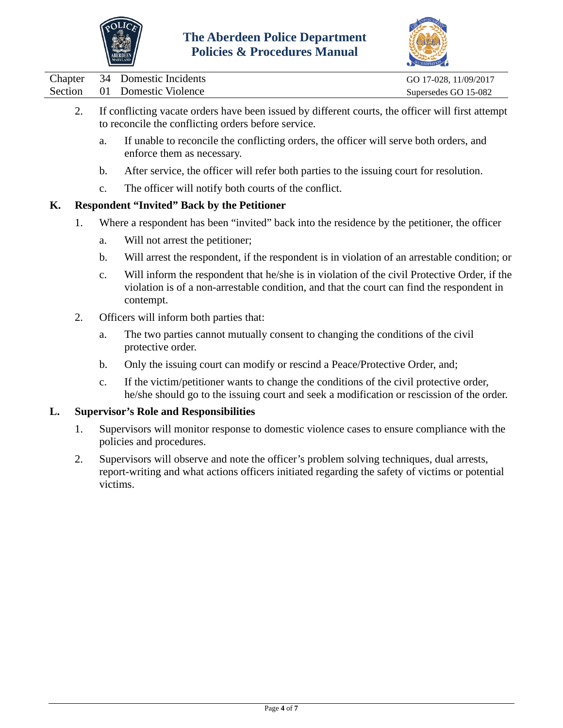



|  | Chapter 34 Domestic Incidents | GO 17-028, 11/09/2017 |
|--|-------------------------------|-----------------------|
|  | Section 01 Domestic Violence  | Supersedes GO 15-082  |
|  |                               |                       |

- 2. If conflicting vacate orders have been issued by different courts, the officer will first attempt to reconcile the conflicting orders before service.
	- a. If unable to reconcile the conflicting orders, the officer will serve both orders, and enforce them as necessary.
	- b. After service, the officer will refer both parties to the issuing court for resolution.
	- c. The officer will notify both courts of the conflict.

## **K. Respondent "Invited" Back by the Petitioner**

- 1. Where a respondent has been "invited" back into the residence by the petitioner, the officer
	- a. Will not arrest the petitioner;
	- b. Will arrest the respondent, if the respondent is in violation of an arrestable condition; or
	- c. Will inform the respondent that he/she is in violation of the civil Protective Order, if the violation is of a non-arrestable condition, and that the court can find the respondent in contempt.
- 2. Officers will inform both parties that:
	- a. The two parties cannot mutually consent to changing the conditions of the civil protective order.
	- b. Only the issuing court can modify or rescind a Peace/Protective Order, and;
	- c. If the victim/petitioner wants to change the conditions of the civil protective order, he/she should go to the issuing court and seek a modification or rescission of the order.

## **L. Supervisor's Role and Responsibilities**

- 1. Supervisors will monitor response to domestic violence cases to ensure compliance with the policies and procedures.
- 2. Supervisors will observe and note the officer's problem solving techniques, dual arrests, report-writing and what actions officers initiated regarding the safety of victims or potential victims.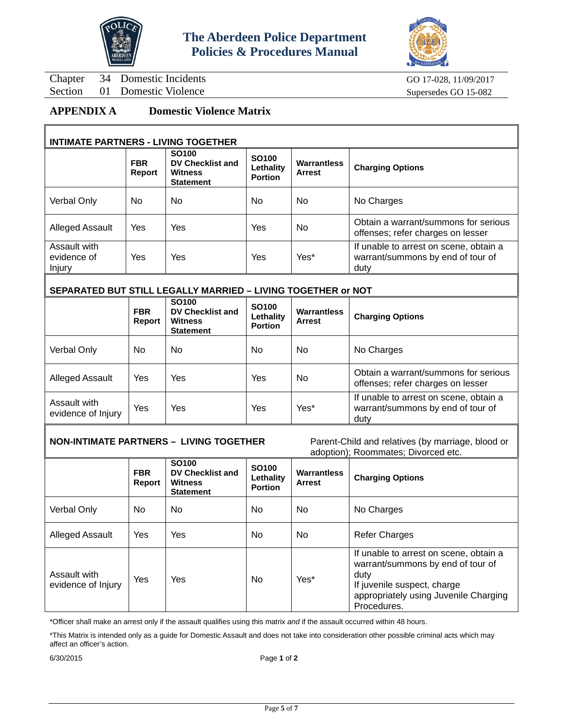



Chapter 34 Domestic Incidents GO 17-028, 11/09/2017

Section 01 Domestic Violence Supersedes GO 15-082

## **APPENDIX A Domestic Violence Matrix**

#### **INTIMATE PARTNERS - LIVING TOGETHER**

|                                       | <b>FBR</b><br>Report | <b>SO100</b><br><b>DV Checklist and</b><br><b>Witness</b><br><b>Statement</b> | <b>SO100</b><br>Lethality<br><b>Portion</b> | <b>Warrantless</b><br><b>Arrest</b> | <b>Charging Options</b>                                                             |  |  |
|---------------------------------------|----------------------|-------------------------------------------------------------------------------|---------------------------------------------|-------------------------------------|-------------------------------------------------------------------------------------|--|--|
| Verbal Only                           | No.                  | <b>No</b>                                                                     | No.                                         | <b>No</b>                           | No Charges                                                                          |  |  |
| <b>Alleged Assault</b>                | <b>Yes</b>           | Yes                                                                           | Yes                                         | <b>No</b>                           | Obtain a warrant/summons for serious<br>offenses; refer charges on lesser           |  |  |
| Assault with<br>evidence of<br>Injury | Yes                  | Yes                                                                           | Yes                                         | Yes*                                | If unable to arrest on scene, obtain a<br>warrant/summons by end of tour of<br>duty |  |  |

#### **SEPARATED BUT STILL LEGALLY MARRIED – LIVING TOGETHER or NOT**

|                                    | <b>FBR</b><br>Report | <b>SO100</b><br><b>DV Checklist and</b><br><b>Witness</b><br><b>Statement</b> | <b>SO100</b><br>Lethality<br><b>Portion</b> | Warrantless<br><b>Arrest</b> | <b>Charging Options</b>                                                             |
|------------------------------------|----------------------|-------------------------------------------------------------------------------|---------------------------------------------|------------------------------|-------------------------------------------------------------------------------------|
| Verbal Only                        | No                   | No                                                                            | No.                                         | <b>No</b>                    | No Charges                                                                          |
| <b>Alleged Assault</b>             | Yes                  | Yes                                                                           | Yes                                         | <b>No</b>                    | Obtain a warrant/summons for serious<br>offenses; refer charges on lesser           |
| Assault with<br>evidence of Injury | Yes                  | Yes                                                                           | Yes                                         | Yes*                         | If unable to arrest on scene, obtain a<br>warrant/summons by end of tour of<br>duty |

# **NON-INTIMATE PARTNERS – LIVING TOGETHER** Parent-Child and relatives (by marriage, blood or

adoption); Roommates; Divorced etc.

|                                    |                      |                                                                               |                                             |                                     | adoption), inoonimated, Divorced Ctc.                                                                                                                                      |
|------------------------------------|----------------------|-------------------------------------------------------------------------------|---------------------------------------------|-------------------------------------|----------------------------------------------------------------------------------------------------------------------------------------------------------------------------|
|                                    | <b>FBR</b><br>Report | <b>SO100</b><br><b>DV Checklist and</b><br><b>Witness</b><br><b>Statement</b> | <b>SO100</b><br>Lethality<br><b>Portion</b> | <b>Warrantless</b><br><b>Arrest</b> | <b>Charging Options</b>                                                                                                                                                    |
| Verbal Only                        | No.                  | No.                                                                           | No.                                         | No                                  | No Charges                                                                                                                                                                 |
| <b>Alleged Assault</b>             | Yes                  | Yes                                                                           | No.                                         | No                                  | <b>Refer Charges</b>                                                                                                                                                       |
| Assault with<br>evidence of Injury | <b>Yes</b>           | Yes                                                                           | No.                                         | Yes*                                | If unable to arrest on scene, obtain a<br>warrant/summons by end of tour of<br>duty<br>If juvenile suspect, charge<br>appropriately using Juvenile Charging<br>Procedures. |

\*Officer shall make an arrest only if the assault qualifies using this matrix *and* if the assault occurred within 48 hours.

\*This Matrix is intended only as a guide for Domestic Assault and does not take into consideration other possible criminal acts which may affect an officer's action.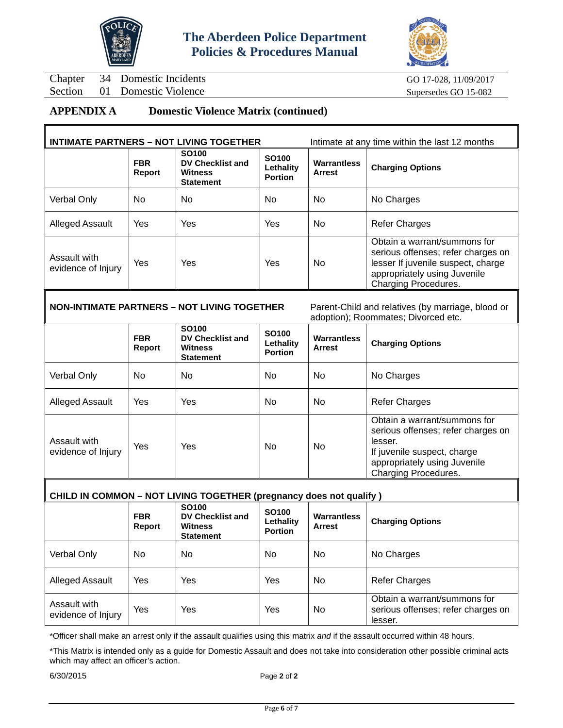



Chapter 34 Domestic Incidents GO 17-028, 11/09/2017

Section 01 Domestic Violence Supersedes GO 15-082

## **APPENDIX A Domestic Violence Matrix (continued)**

|                                    |                      | <b>INTIMATE PARTNERS - NOT LIVING TOGETHER</b>                                | Intimate at any time within the last 12 months   |                                     |                                                                                                                                                                  |
|------------------------------------|----------------------|-------------------------------------------------------------------------------|--------------------------------------------------|-------------------------------------|------------------------------------------------------------------------------------------------------------------------------------------------------------------|
|                                    | <b>FBR</b><br>Report | <b>SO100</b><br><b>DV Checklist and</b><br><b>Witness</b><br><b>Statement</b> | SO <sub>100</sub><br>Lethality<br><b>Portion</b> | <b>Warrantless</b><br><b>Arrest</b> | <b>Charging Options</b>                                                                                                                                          |
| <b>Verbal Only</b>                 | No.                  | No.                                                                           | No.                                              | No                                  | No Charges                                                                                                                                                       |
| Alleged Assault                    | Yes                  | Yes                                                                           | Yes                                              | No                                  | <b>Refer Charges</b>                                                                                                                                             |
| Assault with<br>evidence of Injury | Yes                  | Yes                                                                           | Yes                                              | No                                  | Obtain a warrant/summons for<br>serious offenses; refer charges on<br>lesser If juvenile suspect, charge<br>appropriately using Juvenile<br>Charging Procedures. |

**NON-INTIMATE PARTNERS – NOT LIVING TOGETHER** Parent-Child and relatives (by marriage, blood or

adoption); Roommates; Divorced etc.

|                                    | <b>FBR</b><br>Report | <b>SO100</b><br><b>DV Checklist and</b><br><b>Witness</b><br><b>Statement</b> | <b>SO100</b><br>Lethality<br><b>Portion</b> | <b>Warrantless</b><br><b>Arrest</b> | <b>Charging Options</b>                                                                                                                                              |
|------------------------------------|----------------------|-------------------------------------------------------------------------------|---------------------------------------------|-------------------------------------|----------------------------------------------------------------------------------------------------------------------------------------------------------------------|
| Verbal Only                        | No.                  | No                                                                            | No.                                         | No.                                 | No Charges                                                                                                                                                           |
| <b>Alleged Assault</b>             | Yes                  | Yes                                                                           | No.                                         | No.                                 | <b>Refer Charges</b>                                                                                                                                                 |
| Assault with<br>evidence of Injury | Yes                  | Yes                                                                           | No.                                         | No.                                 | Obtain a warrant/summons for<br>serious offenses; refer charges on<br>lesser.<br>If juvenile suspect, charge<br>appropriately using Juvenile<br>Charging Procedures. |

#### **CHILD IN COMMON – NOT LIVING TOGETHER (pregnancy does not qualify )**

|                                    | <b>FBR</b><br>Report | <b>SO100</b><br>DV Checklist and<br>Witness<br><b>Statement</b> | <b>SO100</b><br>Lethality<br><b>Portion</b> | <b>Warrantless</b><br><b>Arrest</b> | <b>Charging Options</b>                                                       |
|------------------------------------|----------------------|-----------------------------------------------------------------|---------------------------------------------|-------------------------------------|-------------------------------------------------------------------------------|
| Verbal Only                        | No.                  | No.                                                             | No.                                         | No                                  | No Charges                                                                    |
| <b>Alleged Assault</b>             | Yes                  | Yes                                                             | Yes                                         | No                                  | <b>Refer Charges</b>                                                          |
| Assault with<br>evidence of Injury | Yes                  | Yes                                                             | Yes                                         | No                                  | Obtain a warrant/summons for<br>serious offenses; refer charges on<br>lesser. |

\*Officer shall make an arrest only if the assault qualifies using this matrix *and* if the assault occurred within 48 hours.

\*This Matrix is intended only as a guide for Domestic Assault and does not take into consideration other possible criminal acts which may affect an officer's action.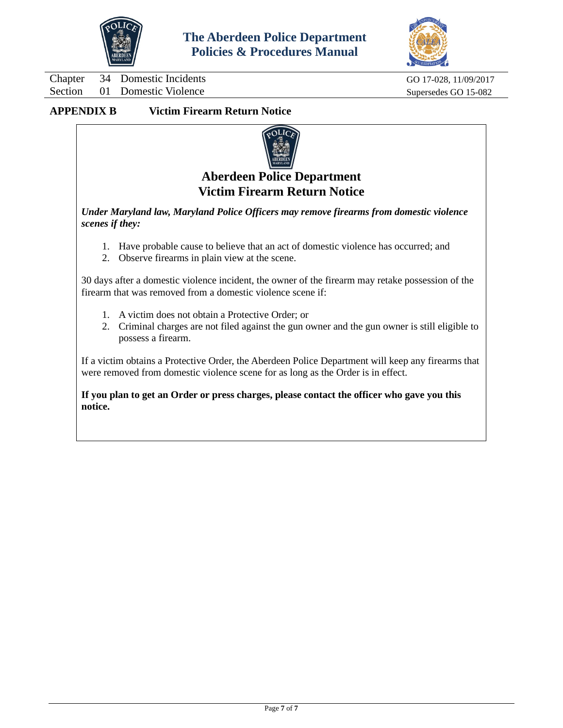



Chapter 34 Domestic Incidents GO 17-028, 11/09/2017 Section 01 Domestic Violence Supersedes GO 15-082

## **APPENDIX B Victim Firearm Return Notice**



# **Aberdeen Police Department Victim Firearm Return Notice**

*Under Maryland law, Maryland Police Officers may remove firearms from domestic violence scenes if they:*

- 1. Have probable cause to believe that an act of domestic violence has occurred; and
- 2. Observe firearms in plain view at the scene.

30 days after a domestic violence incident, the owner of the firearm may retake possession of the firearm that was removed from a domestic violence scene if:

- 1. A victim does not obtain a Protective Order; or
- 2. Criminal charges are not filed against the gun owner and the gun owner is still eligible to possess a firearm.

If a victim obtains a Protective Order, the Aberdeen Police Department will keep any firearms that were removed from domestic violence scene for as long as the Order is in effect.

**If you plan to get an Order or press charges, please contact the officer who gave you this notice.**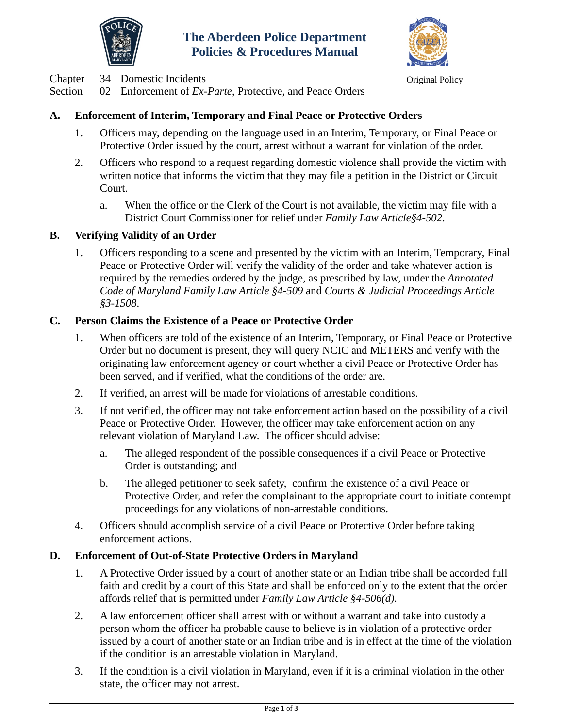



<span id="page-8-0"></span>Chapter 34 Domestic Incidents Chapter 34 Original Policy

Section 02 Enforcement of *Ex-Parte*, Protective, and Peace Orders

## **A. Enforcement of Interim, Temporary and Final Peace or Protective Orders**

- 1. Officers may, depending on the language used in an Interim, Temporary, or Final Peace or Protective Order issued by the court, arrest without a warrant for violation of the order.
- 2. Officers who respond to a request regarding domestic violence shall provide the victim with written notice that informs the victim that they may file a petition in the District or Circuit Court.
	- a. When the office or the Clerk of the Court is not available, the victim may file with a District Court Commissioner for relief under *Family Law Article§4-502*.

## **B. Verifying Validity of an Order**

1. Officers responding to a scene and presented by the victim with an Interim, Temporary, Final Peace or Protective Order will verify the validity of the order and take whatever action is required by the remedies ordered by the judge, as prescribed by law, under the *Annotated Code of Maryland Family Law Article §4-509* and *Courts & Judicial Proceedings Article §3-1508*.

## **C. Person Claims the Existence of a Peace or Protective Order**

- 1. When officers are told of the existence of an Interim, Temporary, or Final Peace or Protective Order but no document is present, they will query NCIC and METERS and verify with the originating law enforcement agency or court whether a civil Peace or Protective Order has been served, and if verified, what the conditions of the order are.
- 2. If verified, an arrest will be made for violations of arrestable conditions.
- 3. If not verified, the officer may not take enforcement action based on the possibility of a civil Peace or Protective Order. However, the officer may take enforcement action on any relevant violation of Maryland Law. The officer should advise:
	- a. The alleged respondent of the possible consequences if a civil Peace or Protective Order is outstanding; and
	- b. The alleged petitioner to seek safety, confirm the existence of a civil Peace or Protective Order, and refer the complainant to the appropriate court to initiate contempt proceedings for any violations of non-arrestable conditions.
- 4. Officers should accomplish service of a civil Peace or Protective Order before taking enforcement actions.

## **D. Enforcement of Out-of-State Protective Orders in Maryland**

- 1. A Protective Order issued by a court of another state or an Indian tribe shall be accorded full faith and credit by a court of this State and shall be enforced only to the extent that the order affords relief that is permitted under *Family Law Article §4-506(d).*
- 2. A law enforcement officer shall arrest with or without a warrant and take into custody a person whom the officer ha probable cause to believe is in violation of a protective order issued by a court of another state or an Indian tribe and is in effect at the time of the violation if the condition is an arrestable violation in Maryland.
- 3. If the condition is a civil violation in Maryland, even if it is a criminal violation in the other state, the officer may not arrest.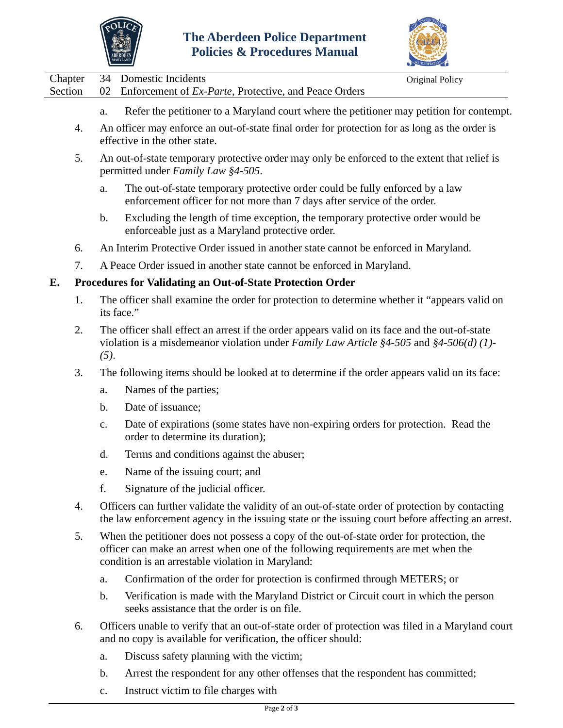



Chapter 34 Domestic Incidents Chapter 34 Original Policy Section 02 Enforcement of *Ex-Parte*, Protective, and Peace Orders

- a. Refer the petitioner to a Maryland court where the petitioner may petition for contempt.
- 4. An officer may enforce an out-of-state final order for protection for as long as the order is effective in the other state.
- 5. An out-of-state temporary protective order may only be enforced to the extent that relief is permitted under *Family Law §4-505*.
	- a. The out-of-state temporary protective order could be fully enforced by a law enforcement officer for not more than 7 days after service of the order.
	- b. Excluding the length of time exception, the temporary protective order would be enforceable just as a Maryland protective order.
- 6. An Interim Protective Order issued in another state cannot be enforced in Maryland.
- 7. A Peace Order issued in another state cannot be enforced in Maryland.

#### **E. Procedures for Validating an Out-of-State Protection Order**

- 1. The officer shall examine the order for protection to determine whether it "appears valid on its face."
- 2. The officer shall effect an arrest if the order appears valid on its face and the out-of-state violation is a misdemeanor violation under *Family Law Article §4-505* and *§4-506(d) (1)- (5)*.
- 3. The following items should be looked at to determine if the order appears valid on its face:
	- a. Names of the parties;
	- b. Date of issuance;
	- c. Date of expirations (some states have non-expiring orders for protection. Read the order to determine its duration);
	- d. Terms and conditions against the abuser;
	- e. Name of the issuing court; and
	- f. Signature of the judicial officer.
- 4. Officers can further validate the validity of an out-of-state order of protection by contacting the law enforcement agency in the issuing state or the issuing court before affecting an arrest.
- 5. When the petitioner does not possess a copy of the out-of-state order for protection, the officer can make an arrest when one of the following requirements are met when the condition is an arrestable violation in Maryland:
	- a. Confirmation of the order for protection is confirmed through METERS; or
	- b. Verification is made with the Maryland District or Circuit court in which the person seeks assistance that the order is on file.
- 6. Officers unable to verify that an out-of-state order of protection was filed in a Maryland court and no copy is available for verification, the officer should:
	- a. Discuss safety planning with the victim;
	- b. Arrest the respondent for any other offenses that the respondent has committed;
	- c. Instruct victim to file charges with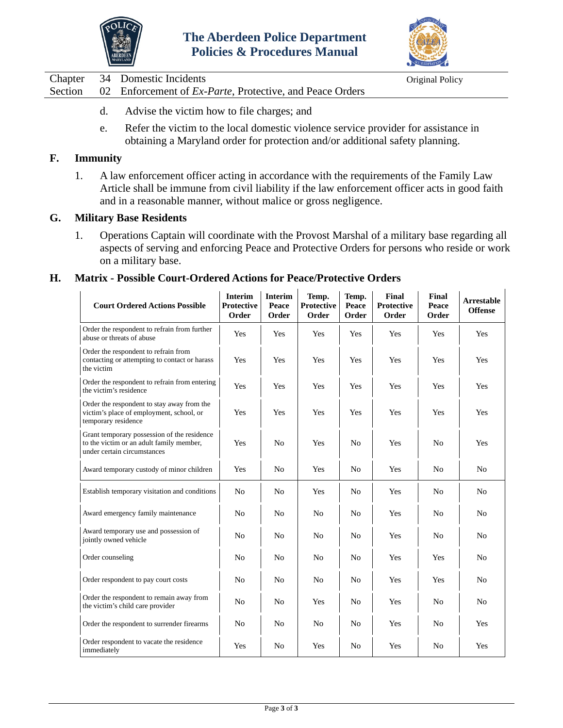



Chapter 34 Domestic Incidents Original Policy

Section 02 Enforcement of *Ex-Parte*, Protective, and Peace Orders

- d. Advise the victim how to file charges; and
- e. Refer the victim to the local domestic violence service provider for assistance in obtaining a Maryland order for protection and/or additional safety planning.

## **F. Immunity**

1. A law enforcement officer acting in accordance with the requirements of the Family Law Article shall be immune from civil liability if the law enforcement officer acts in good faith and in a reasonable manner, without malice or gross negligence.

#### **G. Military Base Residents**

1. Operations Captain will coordinate with the Provost Marshal of a military base regarding all aspects of serving and enforcing Peace and Protective Orders for persons who reside or work on a military base.

#### **H. Matrix - Possible Court-Ordered Actions for Peace/Protective Orders**

| <b>Court Ordered Actions Possible</b>                                                                                  | <b>Interim</b><br><b>Protective</b><br>Order | <b>Interim</b><br>Peace<br>Order | Temp.<br><b>Protective</b><br>Order | Temp.<br>Peace<br>Order | Final<br><b>Protective</b><br>Order | Final<br>Peace<br>Order | <b>Arrestable</b><br><b>Offense</b> |
|------------------------------------------------------------------------------------------------------------------------|----------------------------------------------|----------------------------------|-------------------------------------|-------------------------|-------------------------------------|-------------------------|-------------------------------------|
| Order the respondent to refrain from further<br>abuse or threats of abuse                                              | Yes                                          | Yes                              | Yes                                 | Yes                     | Yes                                 | Yes                     | Yes                                 |
| Order the respondent to refrain from<br>contacting or attempting to contact or harass<br>the victim                    | Yes                                          | Yes                              | Yes                                 | Yes                     | Yes                                 | Yes                     | Yes                                 |
| Order the respondent to refrain from entering<br>the victim's residence                                                | Yes                                          | Yes                              | Yes                                 | Yes                     | Yes                                 | Yes                     | Yes                                 |
| Order the respondent to stay away from the<br>victim's place of employment, school, or<br>temporary residence          | Yes                                          | Yes                              | Yes                                 | Yes                     | Yes                                 | Yes                     | Yes                                 |
| Grant temporary possession of the residence<br>to the victim or an adult family member,<br>under certain circumstances | Yes                                          | N <sub>0</sub>                   | Yes                                 | No                      | Yes                                 | N <sub>0</sub>          | Yes                                 |
| Award temporary custody of minor children                                                                              | Yes                                          | N <sub>0</sub>                   | Yes                                 | No                      | Yes                                 | N <sub>0</sub>          | N <sub>0</sub>                      |
| Establish temporary visitation and conditions                                                                          | N <sub>0</sub>                               | N <sub>0</sub>                   | Yes                                 | N <sub>0</sub>          | Yes                                 | N <sub>0</sub>          | N <sub>0</sub>                      |
| Award emergency family maintenance                                                                                     | N <sub>0</sub>                               | N <sub>0</sub>                   | N <sub>0</sub>                      | N <sub>0</sub>          | Yes                                 | N <sub>0</sub>          | N <sub>o</sub>                      |
| Award temporary use and possession of<br>jointly owned vehicle                                                         | N <sub>o</sub>                               | N <sub>0</sub>                   | N <sub>o</sub>                      | N <sub>0</sub>          | Yes                                 | N <sub>0</sub>          | N <sub>0</sub>                      |
| Order counseling                                                                                                       | No                                           | N <sub>0</sub>                   | N <sub>o</sub>                      | N <sub>0</sub>          | Yes                                 | Yes                     | N <sub>0</sub>                      |
| Order respondent to pay court costs                                                                                    | No                                           | No                               | No                                  | No                      | Yes                                 | Yes                     | N <sub>0</sub>                      |
| Order the respondent to remain away from<br>the victim's child care provider                                           | N <sub>o</sub>                               | N <sub>0</sub>                   | Yes                                 | N <sub>0</sub>          | Yes                                 | N <sub>0</sub>          | N <sub>o</sub>                      |
| Order the respondent to surrender firearms                                                                             | N <sub>o</sub>                               | N <sub>0</sub>                   | No                                  | N <sub>0</sub>          | Yes                                 | N <sub>0</sub>          | Yes                                 |
| Order respondent to vacate the residence<br>immediately                                                                | Yes                                          | N <sub>0</sub>                   | Yes                                 | N <sub>0</sub>          | Yes                                 | No                      | Yes                                 |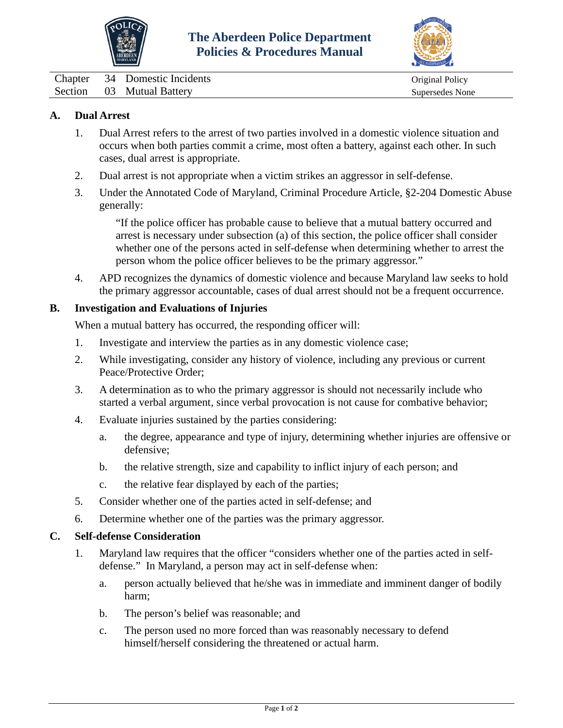



<span id="page-11-0"></span>Chapter 34 Domestic Incidents Chapter 34 Original Policy Section 03 Mutual Battery Supersedes None

## **A. Dual Arrest**

- 1. Dual Arrest refers to the arrest of two parties involved in a domestic violence situation and occurs when both parties commit a crime, most often a battery, against each other. In such cases, dual arrest is appropriate.
- 2. Dual arrest is not appropriate when a victim strikes an aggressor in self-defense.
- 3. Under the Annotated Code of Maryland, Criminal Procedure Article, §2-204 Domestic Abuse generally:

"If the police officer has probable cause to believe that a mutual battery occurred and arrest is necessary under subsection (a) of this section, the police officer shall consider whether one of the persons acted in self-defense when determining whether to arrest the person whom the police officer believes to be the primary aggressor."

4. APD recognizes the dynamics of domestic violence and because Maryland law seeks to hold the primary aggressor accountable, cases of dual arrest should not be a frequent occurrence.

#### **B. Investigation and Evaluations of Injuries**

When a mutual battery has occurred, the responding officer will:

- 1. Investigate and interview the parties as in any domestic violence case;
- 2. While investigating, consider any history of violence, including any previous or current Peace/Protective Order;
- 3. A determination as to who the primary aggressor is should not necessarily include who started a verbal argument, since verbal provocation is not cause for combative behavior;
- 4. Evaluate injuries sustained by the parties considering:
	- a. the degree, appearance and type of injury, determining whether injuries are offensive or defensive;
	- b. the relative strength, size and capability to inflict injury of each person; and
	- c. the relative fear displayed by each of the parties;
- 5. Consider whether one of the parties acted in self-defense; and
- 6. Determine whether one of the parties was the primary aggressor.

#### **C. Self-defense Consideration**

- 1. Maryland law requires that the officer "considers whether one of the parties acted in selfdefense." In Maryland, a person may act in self-defense when:
	- a. person actually believed that he/she was in immediate and imminent danger of bodily harm;
	- b. The person's belief was reasonable; and
	- c. The person used no more forced than was reasonably necessary to defend himself/herself considering the threatened or actual harm.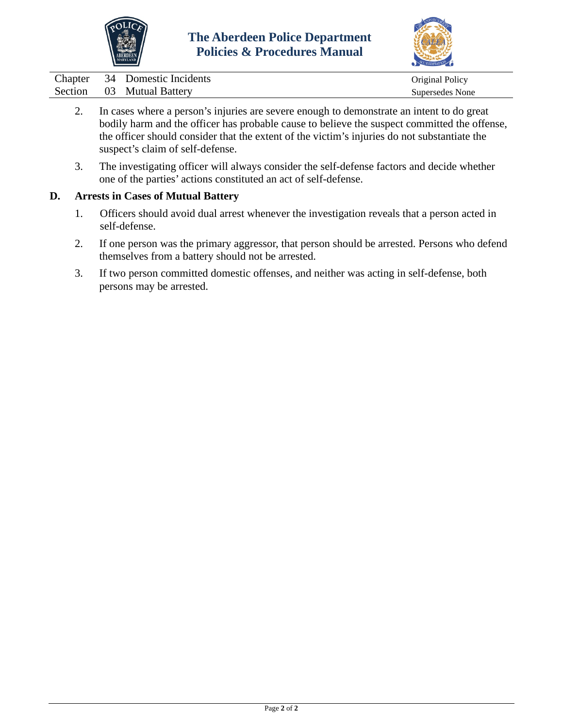



|  | Chapter 34 Domestic Incidents | Original Policy |
|--|-------------------------------|-----------------|
|  | Section 03 Mutual Battery     | Supersedes None |

- 2. In cases where a person's injuries are severe enough to demonstrate an intent to do great bodily harm and the officer has probable cause to believe the suspect committed the offense, the officer should consider that the extent of the victim's injuries do not substantiate the suspect's claim of self-defense.
- 3. The investigating officer will always consider the self-defense factors and decide whether one of the parties' actions constituted an act of self-defense.

#### **D. Arrests in Cases of Mutual Battery**

- 1. Officers should avoid dual arrest whenever the investigation reveals that a person acted in self-defense.
- 2. If one person was the primary aggressor, that person should be arrested. Persons who defend themselves from a battery should not be arrested.
- 3. If two person committed domestic offenses, and neither was acting in self-defense, both persons may be arrested.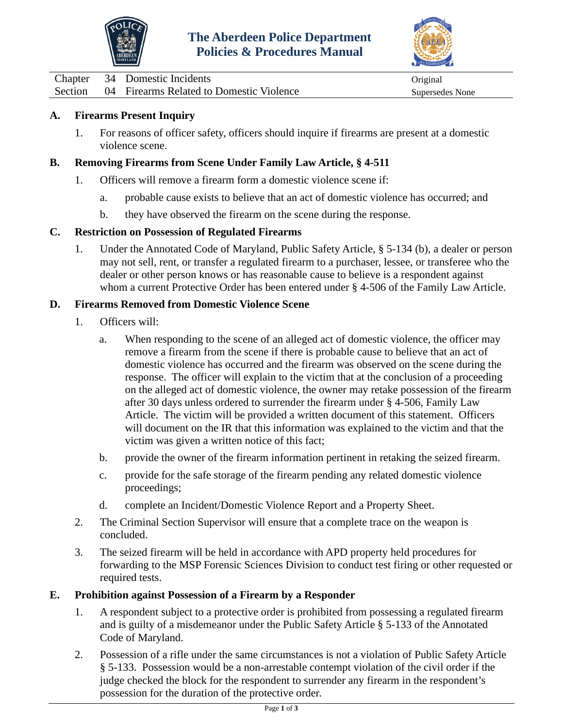



<span id="page-13-0"></span>Chapter 34 Domestic Incidents Original Section 04 Firearms Related to Domestic Violence Supersedes None

## **A. Firearms Present Inquiry**

1. For reasons of officer safety, officers should inquire if firearms are present at a domestic violence scene.

## **B. Removing Firearms from Scene Under Family Law Article, § 4-511**

- 1. Officers will remove a firearm form a domestic violence scene if:
	- a. probable cause exists to believe that an act of domestic violence has occurred; and
	- b. they have observed the firearm on the scene during the response.

## **C. Restriction on Possession of Regulated Firearms**

1. Under the Annotated Code of Maryland, Public Safety Article, § 5-134 (b), a dealer or person may not sell, rent, or transfer a regulated firearm to a purchaser, lessee, or transferee who the dealer or other person knows or has reasonable cause to believe is a respondent against whom a current Protective Order has been entered under § 4-506 of the Family Law Article.

## **D. Firearms Removed from Domestic Violence Scene**

- 1. Officers will:
	- a. When responding to the scene of an alleged act of domestic violence, the officer may remove a firearm from the scene if there is probable cause to believe that an act of domestic violence has occurred and the firearm was observed on the scene during the response. The officer will explain to the victim that at the conclusion of a proceeding on the alleged act of domestic violence, the owner may retake possession of the firearm after 30 days unless ordered to surrender the firearm under § 4-506, Family Law Article. The victim will be provided a written document of this statement. Officers will document on the IR that this information was explained to the victim and that the victim was given a written notice of this fact;
	- b. provide the owner of the firearm information pertinent in retaking the seized firearm.
	- c. provide for the safe storage of the firearm pending any related domestic violence proceedings;
	- d. complete an Incident/Domestic Violence Report and a Property Sheet.
- 2. The Criminal Section Supervisor will ensure that a complete trace on the weapon is concluded.
- 3. The seized firearm will be held in accordance with APD property held procedures for forwarding to the MSP Forensic Sciences Division to conduct test firing or other requested or required tests.

## **E. Prohibition against Possession of a Firearm by a Responder**

- 1. A respondent subject to a protective order is prohibited from possessing a regulated firearm and is guilty of a misdemeanor under the Public Safety Article § 5-133 of the Annotated Code of Maryland.
- 2. Possession of a rifle under the same circumstances is not a violation of Public Safety Article § 5-133. Possession would be a non-arrestable contempt violation of the civil order if the judge checked the block for the respondent to surrender any firearm in the respondent's possession for the duration of the protective order.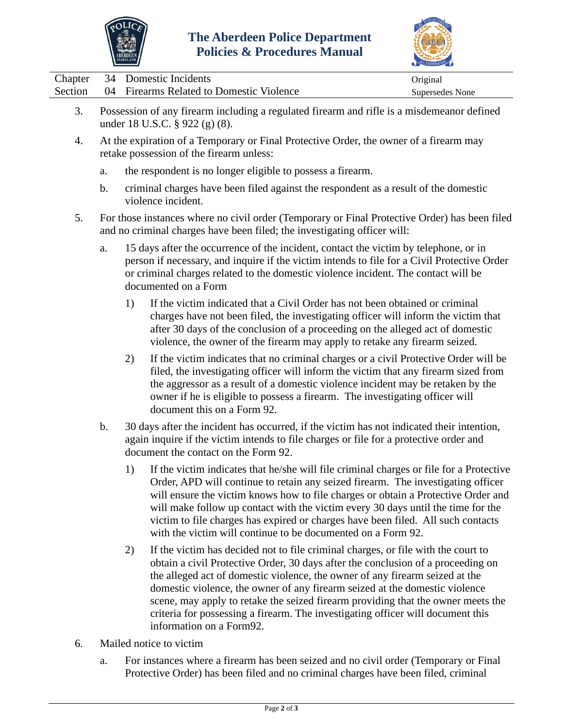



|  | Chapter 34 Domestic Incidents                    | Original        |
|--|--------------------------------------------------|-----------------|
|  | Section 04 Firearms Related to Domestic Violence | Supersedes None |

- 3. Possession of any firearm including a regulated firearm and rifle is a misdemeanor defined under 18 U.S.C. § 922 (g) (8).
- 4. At the expiration of a Temporary or Final Protective Order, the owner of a firearm may retake possession of the firearm unless:
	- a. the respondent is no longer eligible to possess a firearm.
	- b. criminal charges have been filed against the respondent as a result of the domestic violence incident.
- 5. For those instances where no civil order (Temporary or Final Protective Order) has been filed and no criminal charges have been filed; the investigating officer will:
	- a. 15 days after the occurrence of the incident, contact the victim by telephone, or in person if necessary, and inquire if the victim intends to file for a Civil Protective Order or criminal charges related to the domestic violence incident. The contact will be documented on a Form
		- 1) If the victim indicated that a Civil Order has not been obtained or criminal charges have not been filed, the investigating officer will inform the victim that after 30 days of the conclusion of a proceeding on the alleged act of domestic violence, the owner of the firearm may apply to retake any firearm seized.
		- 2) If the victim indicates that no criminal charges or a civil Protective Order will be filed, the investigating officer will inform the victim that any firearm sized from the aggressor as a result of a domestic violence incident may be retaken by the owner if he is eligible to possess a firearm. The investigating officer will document this on a Form 92.
	- b. 30 days after the incident has occurred, if the victim has not indicated their intention, again inquire if the victim intends to file charges or file for a protective order and document the contact on the Form 92.
		- 1) If the victim indicates that he/she will file criminal charges or file for a Protective Order, APD will continue to retain any seized firearm. The investigating officer will ensure the victim knows how to file charges or obtain a Protective Order and will make follow up contact with the victim every 30 days until the time for the victim to file charges has expired or charges have been filed. All such contacts with the victim will continue to be documented on a Form 92.
		- 2) If the victim has decided not to file criminal charges, or file with the court to obtain a civil Protective Order, 30 days after the conclusion of a proceeding on the alleged act of domestic violence, the owner of any firearm seized at the domestic violence, the owner of any firearm seized at the domestic violence scene, may apply to retake the seized firearm providing that the owner meets the criteria for possessing a firearm. The investigating officer will document this information on a Form92.
- 6. Mailed notice to victim
	- a. For instances where a firearm has been seized and no civil order (Temporary or Final Protective Order) has been filed and no criminal charges have been filed, criminal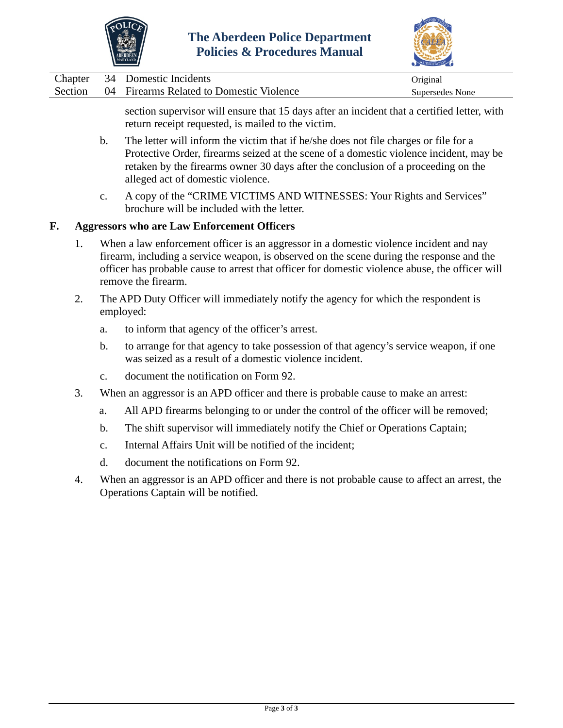



|  | Chapter 34 Domestic Incidents                    | Original        |
|--|--------------------------------------------------|-----------------|
|  | Section 04 Firearms Related to Domestic Violence | Supersedes None |

section supervisor will ensure that 15 days after an incident that a certified letter, with return receipt requested, is mailed to the victim.

- b. The letter will inform the victim that if he/she does not file charges or file for a Protective Order, firearms seized at the scene of a domestic violence incident, may be retaken by the firearms owner 30 days after the conclusion of a proceeding on the alleged act of domestic violence.
- c. A copy of the "CRIME VICTIMS AND WITNESSES: Your Rights and Services" brochure will be included with the letter.

#### **F. Aggressors who are Law Enforcement Officers**

- 1. When a law enforcement officer is an aggressor in a domestic violence incident and nay firearm, including a service weapon, is observed on the scene during the response and the officer has probable cause to arrest that officer for domestic violence abuse, the officer will remove the firearm.
- 2. The APD Duty Officer will immediately notify the agency for which the respondent is employed:
	- a. to inform that agency of the officer's arrest.
	- b. to arrange for that agency to take possession of that agency's service weapon, if one was seized as a result of a domestic violence incident.
	- c. document the notification on Form 92.
- 3. When an aggressor is an APD officer and there is probable cause to make an arrest:
	- a. All APD firearms belonging to or under the control of the officer will be removed;
	- b. The shift supervisor will immediately notify the Chief or Operations Captain;
	- c. Internal Affairs Unit will be notified of the incident;
	- d. document the notifications on Form 92.
- 4. When an aggressor is an APD officer and there is not probable cause to affect an arrest, the Operations Captain will be notified.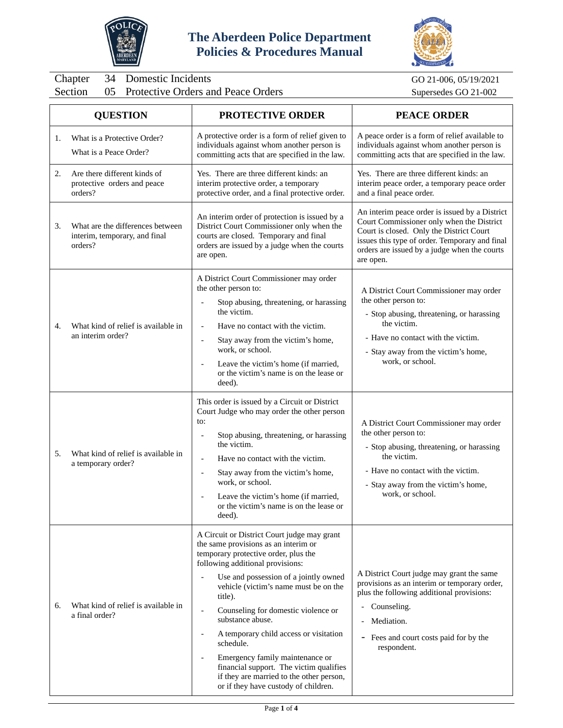



<span id="page-16-0"></span>Chapter 34 Domestic Incidents GO 21-006, 05/19/2021<br>Section 05 Protective Orders and Peace Orders Supersedes GO 21-002 Protective Orders and Peace Orders

|    | <b>QUESTION</b>                                                              | <b>PROTECTIVE ORDER</b>                                                                                                                                                                                                                                                                                                                                                                                                                                                                                                                                                                        | <b>PEACE ORDER</b>                                                                                                                                                                                                                                       |  |
|----|------------------------------------------------------------------------------|------------------------------------------------------------------------------------------------------------------------------------------------------------------------------------------------------------------------------------------------------------------------------------------------------------------------------------------------------------------------------------------------------------------------------------------------------------------------------------------------------------------------------------------------------------------------------------------------|----------------------------------------------------------------------------------------------------------------------------------------------------------------------------------------------------------------------------------------------------------|--|
| 1. | What is a Protective Order?<br>What is a Peace Order?                        | A protective order is a form of relief given to<br>individuals against whom another person is<br>committing acts that are specified in the law.                                                                                                                                                                                                                                                                                                                                                                                                                                                | A peace order is a form of relief available to<br>individuals against whom another person is<br>committing acts that are specified in the law.                                                                                                           |  |
| 2. | Are there different kinds of<br>protective orders and peace<br>orders?       | Yes. There are three different kinds: an<br>interim protective order, a temporary<br>protective order, and a final protective order.                                                                                                                                                                                                                                                                                                                                                                                                                                                           | Yes. There are three different kinds: an<br>interim peace order, a temporary peace order<br>and a final peace order.                                                                                                                                     |  |
| 3. | What are the differences between<br>interim, temporary, and final<br>orders? | An interim order of protection is issued by a<br>District Court Commissioner only when the<br>courts are closed. Temporary and final<br>orders are issued by a judge when the courts<br>are open.                                                                                                                                                                                                                                                                                                                                                                                              | An interim peace order is issued by a District<br>Court Commissioner only when the District<br>Court is closed. Only the District Court<br>issues this type of order. Temporary and final<br>orders are issued by a judge when the courts<br>are open.   |  |
| 4. | What kind of relief is available in<br>an interim order?                     | A District Court Commissioner may order<br>the other person to:<br>Stop abusing, threatening, or harassing<br>the victim.<br>Have no contact with the victim.<br>$\overline{\phantom{a}}$<br>Stay away from the victim's home,<br>$\overline{\phantom{a}}$<br>work, or school.<br>Leave the victim's home (if married,<br>or the victim's name is on the lease or<br>deed).                                                                                                                                                                                                                    | A District Court Commissioner may order<br>the other person to:<br>- Stop abusing, threatening, or harassing<br>the victim.<br>- Have no contact with the victim.<br>- Stay away from the victim's home,<br>work, or school.                             |  |
| 5. | What kind of relief is available in<br>a temporary order?                    | This order is issued by a Circuit or District<br>Court Judge who may order the other person<br>to:<br>Stop abusing, threatening, or harassing<br>$\overline{\phantom{a}}$<br>the victim.<br>Have no contact with the victim.<br>$\overline{\phantom{a}}$<br>Stay away from the victim's home,<br>$\overline{\phantom{a}}$<br>work, or school.<br>Leave the victim's home (if married,<br>or the victim's name is on the lease or<br>deed).                                                                                                                                                     | A District Court Commissioner may order<br>the other person to:<br>- Stop abusing, threatening, or harassing<br>the victim.<br>- Have no contact with the victim.<br>- Stay away from the victim's home,<br>work, or school.                             |  |
| 6. | What kind of relief is available in<br>a final order?                        | A Circuit or District Court judge may grant<br>the same provisions as an interim or<br>temporary protective order, plus the<br>following additional provisions:<br>Use and possession of a jointly owned<br>$\blacksquare$<br>vehicle (victim's name must be on the<br>title).<br>Counseling for domestic violence or<br>$\overline{\phantom{a}}$<br>substance abuse.<br>A temporary child access or visitation<br>schedule.<br>Emergency family maintenance or<br>financial support. The victim qualifies<br>if they are married to the other person,<br>or if they have custody of children. | A District Court judge may grant the same<br>provisions as an interim or temporary order,<br>plus the following additional provisions:<br>Counseling.<br>Mediation.<br>$\overline{\phantom{a}}$<br>- Fees and court costs paid for by the<br>respondent. |  |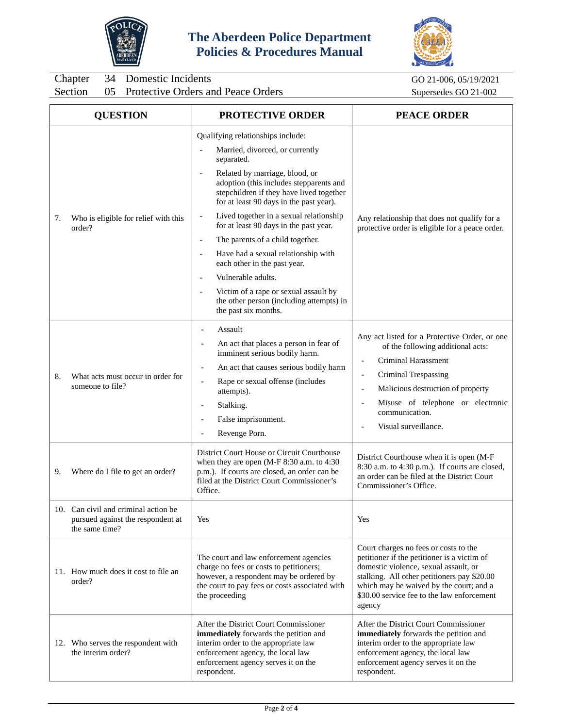



Chapter 34 Domestic Incidents GO 21-006, 05/19/2021<br>Section 05 Protective Orders and Peace Orders Supersedes GO 21-002 Protective Orders and Peace Orders

|    | <b>QUESTION</b>                                                                             | <b>PROTECTIVE ORDER</b>                                                                                                                                                                                                                                                                                                                                                                                                                       | <b>PEACE ORDER</b>                                                                                                                                                                                                                                                                                                                                                 |  |
|----|---------------------------------------------------------------------------------------------|-----------------------------------------------------------------------------------------------------------------------------------------------------------------------------------------------------------------------------------------------------------------------------------------------------------------------------------------------------------------------------------------------------------------------------------------------|--------------------------------------------------------------------------------------------------------------------------------------------------------------------------------------------------------------------------------------------------------------------------------------------------------------------------------------------------------------------|--|
|    |                                                                                             | Qualifying relationships include:<br>Married, divorced, or currently<br>$\blacksquare$<br>separated.<br>Related by marriage, blood, or<br>$\overline{\phantom{a}}$<br>adoption (this includes stepparents and<br>stepchildren if they have lived together<br>for at least 90 days in the past year).                                                                                                                                          |                                                                                                                                                                                                                                                                                                                                                                    |  |
| 7. | Who is eligible for relief with this<br>order?                                              | Lived together in a sexual relationship<br>$\blacksquare$<br>for at least 90 days in the past year.<br>The parents of a child together.<br>$\overline{\phantom{a}}$<br>Have had a sexual relationship with<br>$\overline{a}$<br>each other in the past year.<br>Vulnerable adults.<br>$\blacksquare$<br>Victim of a rape or sexual assault by<br>$\overline{\phantom{a}}$<br>the other person (including attempts) in<br>the past six months. | Any relationship that does not qualify for a<br>protective order is eligible for a peace order.                                                                                                                                                                                                                                                                    |  |
| 8. | What acts must occur in order for<br>someone to file?                                       | Assault<br>An act that places a person in fear of<br>$\overline{\phantom{a}}$<br>imminent serious bodily harm.<br>An act that causes serious bodily harm<br>$\overline{\phantom{a}}$<br>Rape or sexual offense (includes<br>$\overline{\phantom{a}}$<br>attempts).<br>Stalking.<br>$\overline{\phantom{a}}$<br>False imprisonment.<br>Revenge Porn.                                                                                           | Any act listed for a Protective Order, or one<br>of the following additional acts:<br><b>Criminal Harassment</b><br>$\overline{\phantom{a}}$<br>Criminal Trespassing<br>$\overline{\phantom{a}}$<br>Malicious destruction of property<br>$\overline{\phantom{a}}$<br>Misuse of telephone or electronic<br>$\blacksquare$<br>communication.<br>Visual surveillance. |  |
| 9. | Where do I file to get an order?                                                            | District Court House or Circuit Courthouse<br>when they are open (M-F 8:30 a.m. to 4:30<br>p.m.). If courts are closed, an order can be<br>filed at the District Court Commissioner's<br>Office.                                                                                                                                                                                                                                              | District Courthouse when it is open (M-F<br>8:30 a.m. to 4:30 p.m.). If courts are closed,<br>an order can be filed at the District Court<br>Commissioner's Office.                                                                                                                                                                                                |  |
|    | 10. Can civil and criminal action be<br>pursued against the respondent at<br>the same time? | Yes                                                                                                                                                                                                                                                                                                                                                                                                                                           | Yes                                                                                                                                                                                                                                                                                                                                                                |  |
|    | 11. How much does it cost to file an<br>order?                                              | The court and law enforcement agencies<br>charge no fees or costs to petitioners;<br>however, a respondent may be ordered by<br>the court to pay fees or costs associated with<br>the proceeding                                                                                                                                                                                                                                              | Court charges no fees or costs to the<br>petitioner if the petitioner is a victim of<br>domestic violence, sexual assault, or<br>stalking. All other petitioners pay \$20.00<br>which may be waived by the court; and a<br>\$30.00 service fee to the law enforcement<br>agency                                                                                    |  |
|    | 12. Who serves the respondent with<br>the interim order?                                    | After the District Court Commissioner<br>immediately forwards the petition and<br>interim order to the appropriate law<br>enforcement agency, the local law<br>enforcement agency serves it on the<br>respondent.                                                                                                                                                                                                                             | After the District Court Commissioner<br>immediately forwards the petition and<br>interim order to the appropriate law<br>enforcement agency, the local law<br>enforcement agency serves it on the<br>respondent.                                                                                                                                                  |  |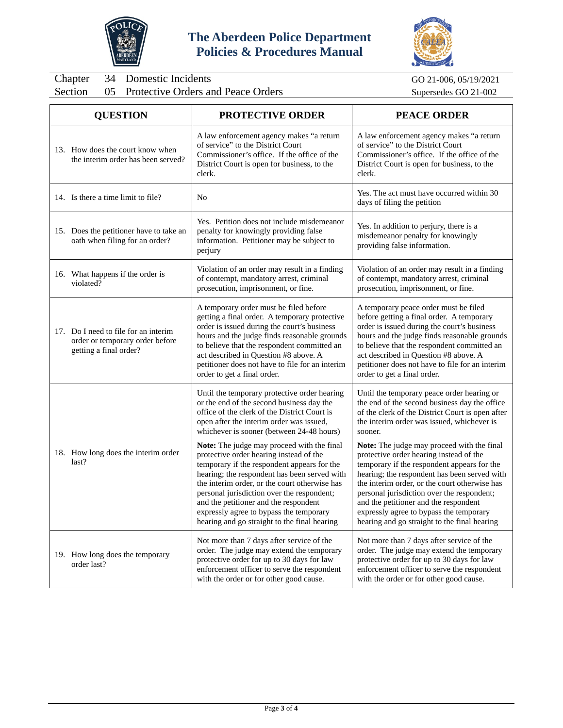



Chapter 34 Domestic Incidents GO 21-006, 05/19/2021<br>Section 05 Protective Orders and Peace Orders Supersedes GO 21-002 Protective Orders and Peace Orders

| <b>QUESTION</b>                                                                                   | PROTECTIVE ORDER                                                                                                                                                                                                                                                                                                                                                                                                                                                                                                                                                   | <b>PEACE ORDER</b>                                                                                                                                                                                                                                                                                                                                                                                                                                                                                                                       |
|---------------------------------------------------------------------------------------------------|--------------------------------------------------------------------------------------------------------------------------------------------------------------------------------------------------------------------------------------------------------------------------------------------------------------------------------------------------------------------------------------------------------------------------------------------------------------------------------------------------------------------------------------------------------------------|------------------------------------------------------------------------------------------------------------------------------------------------------------------------------------------------------------------------------------------------------------------------------------------------------------------------------------------------------------------------------------------------------------------------------------------------------------------------------------------------------------------------------------------|
| 13. How does the court know when<br>the interim order has been served?                            | A law enforcement agency makes "a return<br>of service" to the District Court<br>Commissioner's office. If the office of the<br>District Court is open for business, to the<br>clerk.                                                                                                                                                                                                                                                                                                                                                                              | A law enforcement agency makes "a return<br>of service" to the District Court<br>Commissioner's office. If the office of the<br>District Court is open for business, to the<br>clerk.                                                                                                                                                                                                                                                                                                                                                    |
| 14. Is there a time limit to file?                                                                | No                                                                                                                                                                                                                                                                                                                                                                                                                                                                                                                                                                 | Yes. The act must have occurred within 30<br>days of filing the petition                                                                                                                                                                                                                                                                                                                                                                                                                                                                 |
| 15. Does the petitioner have to take an<br>oath when filing for an order?                         | Yes. Petition does not include misdemeanor<br>penalty for knowingly providing false<br>information. Petitioner may be subject to<br>perjury                                                                                                                                                                                                                                                                                                                                                                                                                        | Yes. In addition to perjury, there is a<br>misdemeanor penalty for knowingly<br>providing false information.                                                                                                                                                                                                                                                                                                                                                                                                                             |
| 16. What happens if the order is<br>violated?                                                     | Violation of an order may result in a finding<br>of contempt, mandatory arrest, criminal<br>prosecution, imprisonment, or fine.                                                                                                                                                                                                                                                                                                                                                                                                                                    | Violation of an order may result in a finding<br>of contempt, mandatory arrest, criminal<br>prosecution, imprisonment, or fine.                                                                                                                                                                                                                                                                                                                                                                                                          |
| 17. Do I need to file for an interim<br>order or temporary order before<br>getting a final order? | A temporary order must be filed before<br>getting a final order. A temporary protective<br>order is issued during the court's business<br>hours and the judge finds reasonable grounds<br>to believe that the respondent committed an<br>act described in Question #8 above. A<br>petitioner does not have to file for an interim<br>order to get a final order.                                                                                                                                                                                                   | A temporary peace order must be filed<br>before getting a final order. A temporary<br>order is issued during the court's business<br>hours and the judge finds reasonable grounds<br>to believe that the respondent committed an<br>act described in Question #8 above. A<br>petitioner does not have to file for an interim<br>order to get a final order.                                                                                                                                                                              |
| 18. How long does the interim order<br>last?                                                      | Until the temporary protective order hearing<br>or the end of the second business day the<br>office of the clerk of the District Court is<br>open after the interim order was issued,<br>whichever is sooner (between 24-48 hours)<br>Note: The judge may proceed with the final<br>protective order hearing instead of the<br>temporary if the respondent appears for the<br>hearing; the respondent has been served with<br>the interim order, or the court otherwise has<br>personal jurisdiction over the respondent;<br>and the petitioner and the respondent | Until the temporary peace order hearing or<br>the end of the second business day the office<br>of the clerk of the District Court is open after<br>the interim order was issued, whichever is<br>sooner.<br>Note: The judge may proceed with the final<br>protective order hearing instead of the<br>temporary if the respondent appears for the<br>hearing; the respondent has been served with<br>the interim order, or the court otherwise has<br>personal jurisdiction over the respondent;<br>and the petitioner and the respondent |
|                                                                                                   | expressly agree to bypass the temporary<br>hearing and go straight to the final hearing                                                                                                                                                                                                                                                                                                                                                                                                                                                                            | expressly agree to bypass the temporary<br>hearing and go straight to the final hearing                                                                                                                                                                                                                                                                                                                                                                                                                                                  |
| 19. How long does the temporary<br>order last?                                                    | Not more than 7 days after service of the<br>order. The judge may extend the temporary<br>protective order for up to 30 days for law<br>enforcement officer to serve the respondent<br>with the order or for other good cause.                                                                                                                                                                                                                                                                                                                                     | Not more than 7 days after service of the<br>order. The judge may extend the temporary<br>protective order for up to 30 days for law<br>enforcement officer to serve the respondent<br>with the order or for other good cause.                                                                                                                                                                                                                                                                                                           |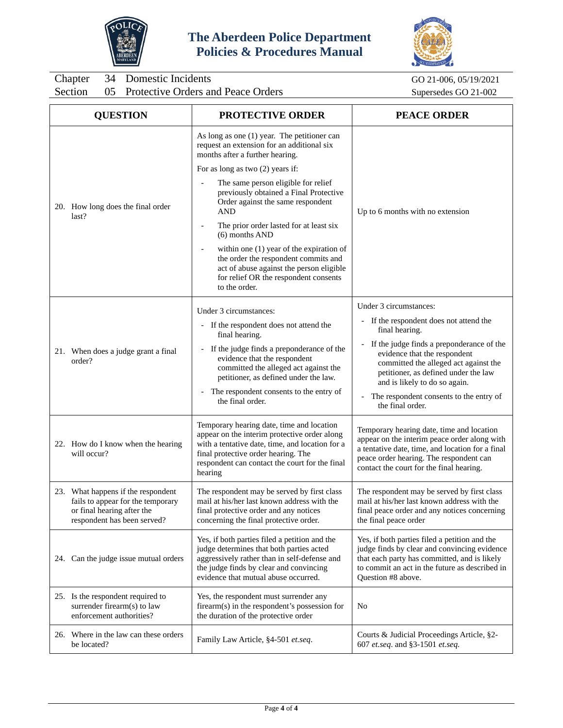



Chapter 34 Domestic Incidents GO 21-006, 05/19/2021<br>Section 05 Protective Orders and Peace Orders Supersedes GO 21-002 05 Protective Orders and Peace Orders

| <b>QUESTION</b>                                                                                                                      | <b>PROTECTIVE ORDER</b>                                                                                                                                                                                                                          | <b>PEACE ORDER</b>                                                                                                                                                                                                                                                           |  |
|--------------------------------------------------------------------------------------------------------------------------------------|--------------------------------------------------------------------------------------------------------------------------------------------------------------------------------------------------------------------------------------------------|------------------------------------------------------------------------------------------------------------------------------------------------------------------------------------------------------------------------------------------------------------------------------|--|
|                                                                                                                                      | As long as one (1) year. The petitioner can<br>request an extension for an additional six<br>months after a further hearing.                                                                                                                     |                                                                                                                                                                                                                                                                              |  |
|                                                                                                                                      | For as long as two (2) years if:                                                                                                                                                                                                                 |                                                                                                                                                                                                                                                                              |  |
| 20. How long does the final order                                                                                                    | The same person eligible for relief<br>$\overline{\phantom{a}}$<br>previously obtained a Final Protective<br>Order against the same respondent<br>AND                                                                                            | Up to 6 months with no extension                                                                                                                                                                                                                                             |  |
| last?                                                                                                                                | The prior order lasted for at least six<br>$\overline{\phantom{a}}$<br>$(6)$ months AND                                                                                                                                                          |                                                                                                                                                                                                                                                                              |  |
|                                                                                                                                      | within one (1) year of the expiration of<br>$\overline{\phantom{a}}$<br>the order the respondent commits and<br>act of abuse against the person eligible<br>for relief OR the respondent consents<br>to the order.                               |                                                                                                                                                                                                                                                                              |  |
|                                                                                                                                      | Under 3 circumstances:                                                                                                                                                                                                                           | Under 3 circumstances:                                                                                                                                                                                                                                                       |  |
|                                                                                                                                      | - If the respondent does not attend the<br>final hearing.                                                                                                                                                                                        | - If the respondent does not attend the<br>final hearing.                                                                                                                                                                                                                    |  |
| 21. When does a judge grant a final<br>order?                                                                                        | - If the judge finds a preponderance of the<br>evidence that the respondent<br>committed the alleged act against the<br>petitioner, as defined under the law.<br>- The respondent consents to the entry of<br>the final order.                   | If the judge finds a preponderance of the<br>$\blacksquare$<br>evidence that the respondent<br>committed the alleged act against the<br>petitioner, as defined under the law<br>and is likely to do so again.<br>The respondent consents to the entry of<br>the final order. |  |
| 22. How do I know when the hearing<br>will occur?                                                                                    | Temporary hearing date, time and location<br>appear on the interim protective order along<br>with a tentative date, time, and location for a<br>final protective order hearing. The<br>respondent can contact the court for the final<br>hearing | Temporary hearing date, time and location<br>appear on the interim peace order along with<br>a tentative date, time, and location for a final<br>peace order hearing. The respondent can<br>contact the court for the final hearing.                                         |  |
| 23. What happens if the respondent<br>fails to appear for the temporary<br>or final hearing after the<br>respondent has been served? | The respondent may be served by first class<br>mail at his/her last known address with the<br>final protective order and any notices<br>concerning the final protective order.                                                                   | The respondent may be served by first class<br>mail at his/her last known address with the<br>final peace order and any notices concerning<br>the final peace order                                                                                                          |  |
| 24. Can the judge issue mutual orders                                                                                                | Yes, if both parties filed a petition and the<br>judge determines that both parties acted<br>aggressively rather than in self-defense and<br>the judge finds by clear and convincing<br>evidence that mutual abuse occurred.                     | Yes, if both parties filed a petition and the<br>judge finds by clear and convincing evidence<br>that each party has committed, and is likely<br>to commit an act in the future as described in<br>Question #8 above.                                                        |  |
| 25. Is the respondent required to<br>surrender firearm(s) to law<br>enforcement authorities?                                         | Yes, the respondent must surrender any<br>firearm(s) in the respondent's possession for<br>the duration of the protective order                                                                                                                  | No                                                                                                                                                                                                                                                                           |  |
| 26. Where in the law can these orders<br>be located?                                                                                 | Family Law Article, §4-501 et.seq.                                                                                                                                                                                                               | Courts & Judicial Proceedings Article, §2-<br>607 et.seq. and §3-1501 et.seq.                                                                                                                                                                                                |  |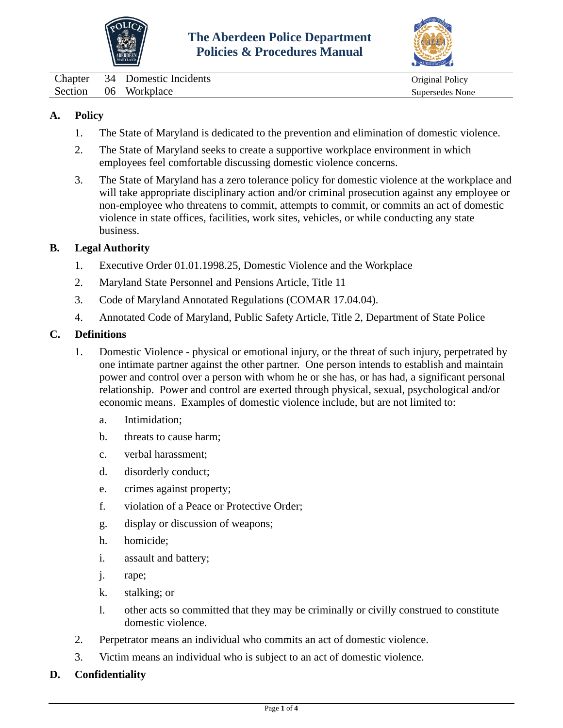



<span id="page-20-0"></span>Chapter 34 Domestic Incidents Original Policy Section 06 Workplace Supersedes None

# **A. Policy**

- 1. The State of Maryland is dedicated to the prevention and elimination of domestic violence.
- 2. The State of Maryland seeks to create a supportive workplace environment in which employees feel comfortable discussing domestic violence concerns.
- 3. The State of Maryland has a zero tolerance policy for domestic violence at the workplace and will take appropriate disciplinary action and/or criminal prosecution against any employee or non-employee who threatens to commit, attempts to commit, or commits an act of domestic violence in state offices, facilities, work sites, vehicles, or while conducting any state business.

## **B. Legal Authority**

- 1. Executive Order 01.01.1998.25, Domestic Violence and the Workplace
- 2. Maryland State Personnel and Pensions Article, Title 11
- 3. Code of Maryland Annotated Regulations (COMAR 17.04.04).
- 4. Annotated Code of Maryland, Public Safety Article, Title 2, Department of State Police

#### **C. Definitions**

- 1. Domestic Violence physical or emotional injury, or the threat of such injury, perpetrated by one intimate partner against the other partner. One person intends to establish and maintain power and control over a person with whom he or she has, or has had, a significant personal relationship. Power and control are exerted through physical, sexual, psychological and/or economic means. Examples of domestic violence include, but are not limited to:
	- a. Intimidation;
	- b. threats to cause harm;
	- c. verbal harassment;
	- d. disorderly conduct;
	- e. crimes against property;
	- f. violation of a Peace or Protective Order;
	- g. display or discussion of weapons;
	- h. homicide;
	- i. assault and battery;
	- j. rape;
	- k. stalking; or
	- l. other acts so committed that they may be criminally or civilly construed to constitute domestic violence.
- 2. Perpetrator means an individual who commits an act of domestic violence.
- 3. Victim means an individual who is subject to an act of domestic violence.

## **D. Confidentiality**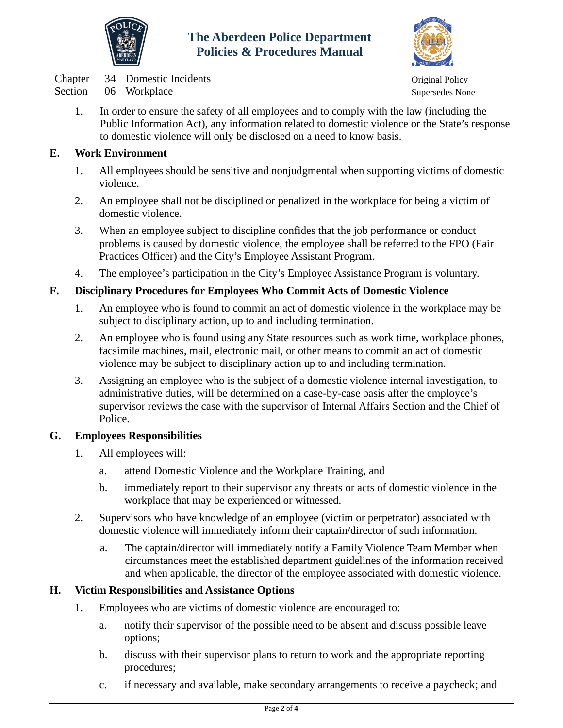



| Chapter | 34  | Domestic Incidents | Original Policy |
|---------|-----|--------------------|-----------------|
| Section | -06 | Workplace          | Supersedes None |

1. In order to ensure the safety of all employees and to comply with the law (including the Public Information Act), any information related to domestic violence or the State's response to domestic violence will only be disclosed on a need to know basis.

## **E. Work Environment**

- 1. All employees should be sensitive and nonjudgmental when supporting victims of domestic violence.
- 2. An employee shall not be disciplined or penalized in the workplace for being a victim of domestic violence.
- 3. When an employee subject to discipline confides that the job performance or conduct problems is caused by domestic violence, the employee shall be referred to the FPO (Fair Practices Officer) and the City's Employee Assistant Program.
- 4. The employee's participation in the City's Employee Assistance Program is voluntary.

## **F. Disciplinary Procedures for Employees Who Commit Acts of Domestic Violence**

- 1. An employee who is found to commit an act of domestic violence in the workplace may be subject to disciplinary action, up to and including termination.
- 2. An employee who is found using any State resources such as work time, workplace phones, facsimile machines, mail, electronic mail, or other means to commit an act of domestic violence may be subject to disciplinary action up to and including termination.
- 3. Assigning an employee who is the subject of a domestic violence internal investigation, to administrative duties, will be determined on a case-by-case basis after the employee's supervisor reviews the case with the supervisor of Internal Affairs Section and the Chief of Police.

## **G. Employees Responsibilities**

- 1. All employees will:
	- a. attend Domestic Violence and the Workplace Training, and
	- b. immediately report to their supervisor any threats or acts of domestic violence in the workplace that may be experienced or witnessed.
- 2. Supervisors who have knowledge of an employee (victim or perpetrator) associated with domestic violence will immediately inform their captain/director of such information.
	- a. The captain/director will immediately notify a Family Violence Team Member when circumstances meet the established department guidelines of the information received and when applicable, the director of the employee associated with domestic violence.

## **H. Victim Responsibilities and Assistance Options**

- 1. Employees who are victims of domestic violence are encouraged to:
	- a. notify their supervisor of the possible need to be absent and discuss possible leave options;
	- b. discuss with their supervisor plans to return to work and the appropriate reporting procedures;
	- c. if necessary and available, make secondary arrangements to receive a paycheck; and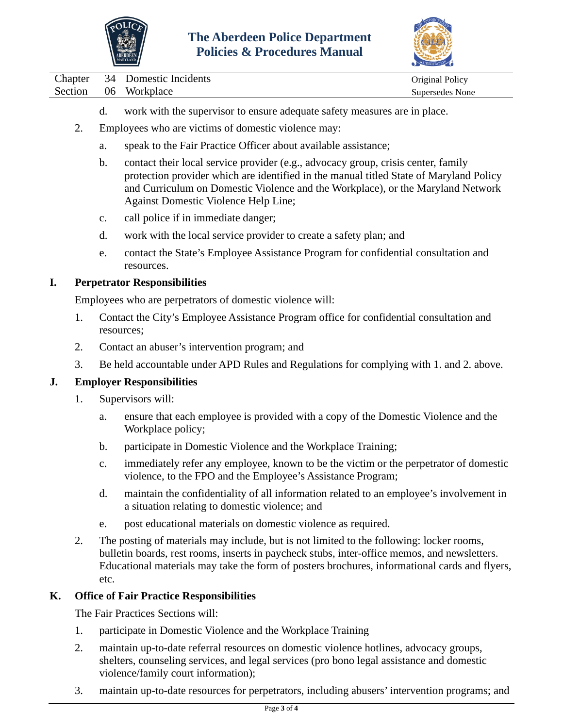



Chapter 34 Domestic Incidents Chapter 2014 original Policy Section 06 Workplace Supersedes None

- d. work with the supervisor to ensure adequate safety measures are in place.
- 2. Employees who are victims of domestic violence may:
	- a. speak to the Fair Practice Officer about available assistance;
	- b. contact their local service provider (e.g., advocacy group, crisis center, family protection provider which are identified in the manual titled State of Maryland Policy and Curriculum on Domestic Violence and the Workplace), or the Maryland Network Against Domestic Violence Help Line;
	- c. call police if in immediate danger;
	- d. work with the local service provider to create a safety plan; and
	- e. contact the State's Employee Assistance Program for confidential consultation and resources.

## **I. Perpetrator Responsibilities**

Employees who are perpetrators of domestic violence will:

- 1. Contact the City's Employee Assistance Program office for confidential consultation and resources;
- 2. Contact an abuser's intervention program; and
- 3. Be held accountable under APD Rules and Regulations for complying with 1. and 2. above.

## **J. Employer Responsibilities**

- 1. Supervisors will:
	- a. ensure that each employee is provided with a copy of the Domestic Violence and the Workplace policy;
	- b. participate in Domestic Violence and the Workplace Training;
	- c. immediately refer any employee, known to be the victim or the perpetrator of domestic violence, to the FPO and the Employee's Assistance Program;
	- d. maintain the confidentiality of all information related to an employee's involvement in a situation relating to domestic violence; and
	- e. post educational materials on domestic violence as required.
- 2. The posting of materials may include, but is not limited to the following: locker rooms, bulletin boards, rest rooms, inserts in paycheck stubs, inter-office memos, and newsletters. Educational materials may take the form of posters brochures, informational cards and flyers, etc.

## **K. Office of Fair Practice Responsibilities**

The Fair Practices Sections will:

- 1. participate in Domestic Violence and the Workplace Training
- 2. maintain up-to-date referral resources on domestic violence hotlines, advocacy groups, shelters, counseling services, and legal services (pro bono legal assistance and domestic violence/family court information);
- 3. maintain up-to-date resources for perpetrators, including abusers' intervention programs; and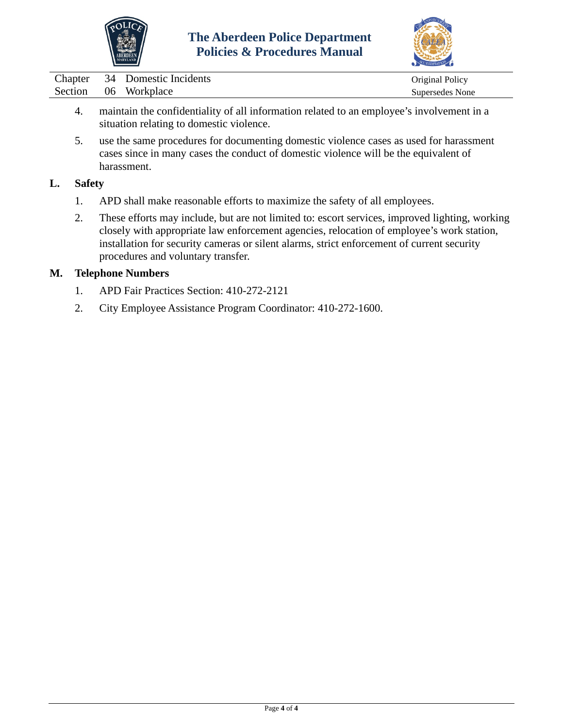



| Chapter |    | 34 Domestic Incidents | Original Policy |
|---------|----|-----------------------|-----------------|
| Section | 06 | Workplace             | Supersedes None |

- 4. maintain the confidentiality of all information related to an employee's involvement in a situation relating to domestic violence.
- 5. use the same procedures for documenting domestic violence cases as used for harassment cases since in many cases the conduct of domestic violence will be the equivalent of harassment.

## **L. Safety**

- 1. APD shall make reasonable efforts to maximize the safety of all employees.
- 2. These efforts may include, but are not limited to: escort services, improved lighting, working closely with appropriate law enforcement agencies, relocation of employee's work station, installation for security cameras or silent alarms, strict enforcement of current security procedures and voluntary transfer.

## **M. Telephone Numbers**

- 1. APD Fair Practices Section: 410-272-2121
- 2. City Employee Assistance Program Coordinator: 410-272-1600.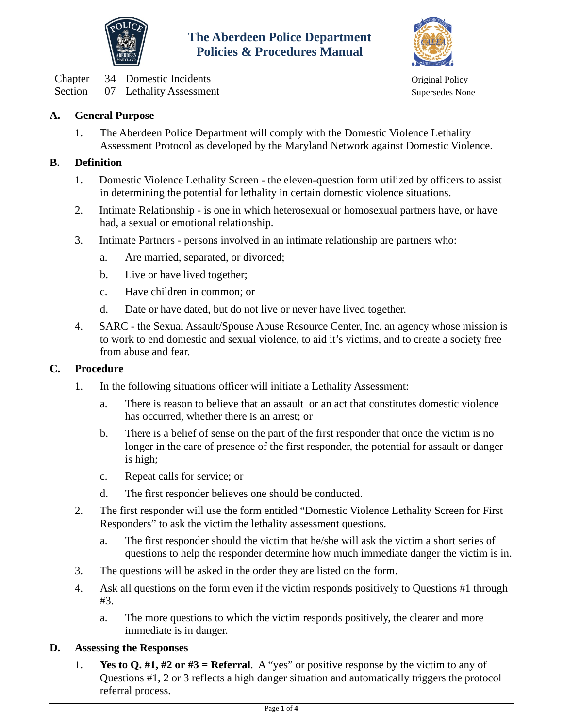



<span id="page-24-0"></span>

|  | Chapter 34 Domestic Incidents   |
|--|---------------------------------|
|  | Section 07 Lethality Assessment |

# Original Policy Supersedes None

## **A. General Purpose**

1. The Aberdeen Police Department will comply with the Domestic Violence Lethality Assessment Protocol as developed by the Maryland Network against Domestic Violence.

#### **B. Definition**

- 1. Domestic Violence Lethality Screen the eleven-question form utilized by officers to assist in determining the potential for lethality in certain domestic violence situations.
- 2. Intimate Relationship is one in which heterosexual or homosexual partners have, or have had, a sexual or emotional relationship.
- 3. Intimate Partners persons involved in an intimate relationship are partners who:
	- a. Are married, separated, or divorced;
	- b. Live or have lived together;
	- c. Have children in common; or
	- d. Date or have dated, but do not live or never have lived together.
- 4. SARC the Sexual Assault/Spouse Abuse Resource Center, Inc. an agency whose mission is to work to end domestic and sexual violence, to aid it's victims, and to create a society free from abuse and fear.

#### **C. Procedure**

- 1. In the following situations officer will initiate a Lethality Assessment:
	- a. There is reason to believe that an assault or an act that constitutes domestic violence has occurred, whether there is an arrest; or
	- b. There is a belief of sense on the part of the first responder that once the victim is no longer in the care of presence of the first responder, the potential for assault or danger is high;
	- c. Repeat calls for service; or
	- d. The first responder believes one should be conducted.
- 2. The first responder will use the form entitled "Domestic Violence Lethality Screen for First Responders" to ask the victim the lethality assessment questions.
	- a. The first responder should the victim that he/she will ask the victim a short series of questions to help the responder determine how much immediate danger the victim is in.
- 3. The questions will be asked in the order they are listed on the form.
- 4. Ask all questions on the form even if the victim responds positively to Questions #1 through #3.
	- a. The more questions to which the victim responds positively, the clearer and more immediate is in danger.

#### **D. Assessing the Responses**

1. **Yes to Q. #1, #2 or #3 = Referral**. A "yes" or positive response by the victim to any of Questions #1, 2 or 3 reflects a high danger situation and automatically triggers the protocol referral process.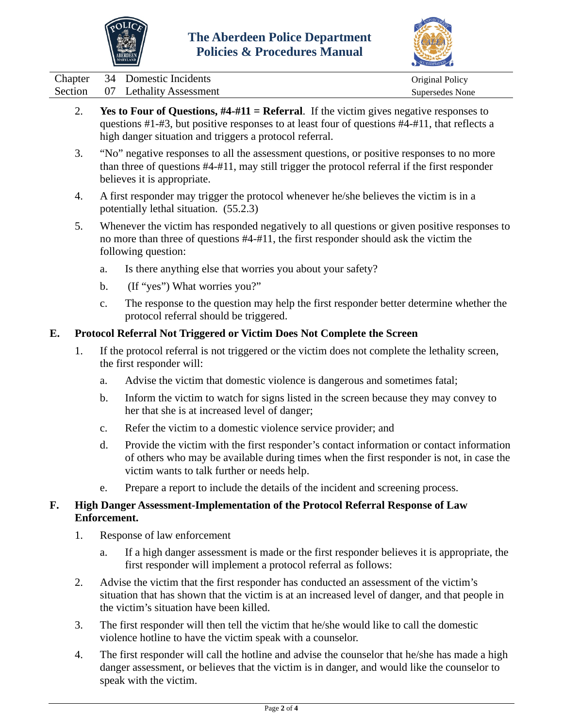



|  | Chapter 34 Domestic Incidents   | Original Policy |
|--|---------------------------------|-----------------|
|  | Section 07 Lethality Assessment | Supersedes None |

- 2. **Yes to Four of Questions, #4-#11 = Referral**. If the victim gives negative responses to questions #1-#3, but positive responses to at least four of questions #4-#11, that reflects a high danger situation and triggers a protocol referral.
- 3. "No" negative responses to all the assessment questions, or positive responses to no more than three of questions #4-#11, may still trigger the protocol referral if the first responder believes it is appropriate.
- 4. A first responder may trigger the protocol whenever he/she believes the victim is in a potentially lethal situation. (55.2.3)
- 5. Whenever the victim has responded negatively to all questions or given positive responses to no more than three of questions #4-#11, the first responder should ask the victim the following question:
	- a. Is there anything else that worries you about your safety?
	- b. (If "yes") What worries you?"
	- c. The response to the question may help the first responder better determine whether the protocol referral should be triggered.

## **E. Protocol Referral Not Triggered or Victim Does Not Complete the Screen**

- 1. If the protocol referral is not triggered or the victim does not complete the lethality screen, the first responder will:
	- a. Advise the victim that domestic violence is dangerous and sometimes fatal;
	- b. Inform the victim to watch for signs listed in the screen because they may convey to her that she is at increased level of danger;
	- c. Refer the victim to a domestic violence service provider; and
	- d. Provide the victim with the first responder's contact information or contact information of others who may be available during times when the first responder is not, in case the victim wants to talk further or needs help.
	- e. Prepare a report to include the details of the incident and screening process.

## **F. High Danger Assessment-Implementation of the Protocol Referral Response of Law Enforcement.**

- 1. Response of law enforcement
	- a. If a high danger assessment is made or the first responder believes it is appropriate, the first responder will implement a protocol referral as follows:
- 2. Advise the victim that the first responder has conducted an assessment of the victim's situation that has shown that the victim is at an increased level of danger, and that people in the victim's situation have been killed.
- 3. The first responder will then tell the victim that he/she would like to call the domestic violence hotline to have the victim speak with a counselor.
- 4. The first responder will call the hotline and advise the counselor that he/she has made a high danger assessment, or believes that the victim is in danger, and would like the counselor to speak with the victim.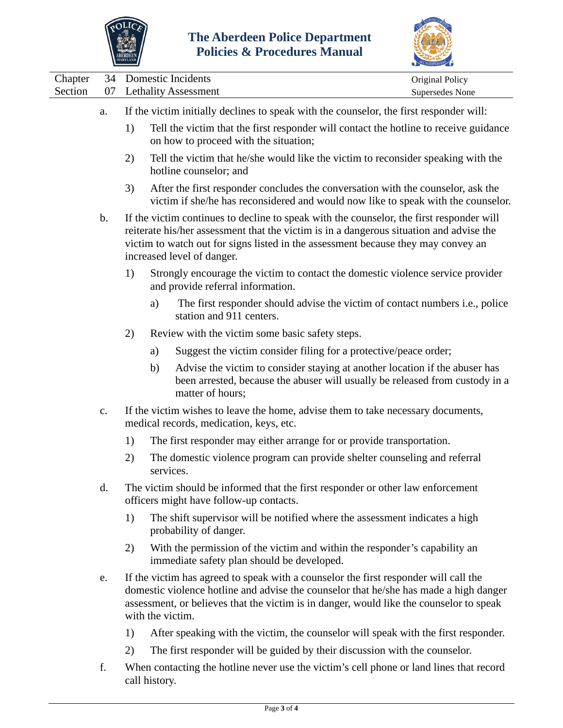



|                    |                |    |                                                                                         |                                                                                                                                                                                                                                                                                                        | $\sum$                             |  |  |
|--------------------|----------------|----|-----------------------------------------------------------------------------------------|--------------------------------------------------------------------------------------------------------------------------------------------------------------------------------------------------------------------------------------------------------------------------------------------------------|------------------------------------|--|--|
| Chapter<br>Section | 34<br>07       |    |                                                                                         | Domestic Incidents<br><b>Lethality Assessment</b>                                                                                                                                                                                                                                                      | Original Policy<br>Supersedes None |  |  |
|                    | a.             |    | If the victim initially declines to speak with the counselor, the first responder will: |                                                                                                                                                                                                                                                                                                        |                                    |  |  |
|                    |                | 1) |                                                                                         | Tell the victim that the first responder will contact the hotline to receive guidance<br>on how to proceed with the situation;                                                                                                                                                                         |                                    |  |  |
|                    |                | 2) |                                                                                         | Tell the victim that he/she would like the victim to reconsider speaking with the<br>hotline counselor; and                                                                                                                                                                                            |                                    |  |  |
|                    |                | 3) |                                                                                         | After the first responder concludes the conversation with the counselor, ask the<br>victim if she/he has reconsidered and would now like to speak with the counselor.                                                                                                                                  |                                    |  |  |
|                    | b.             |    |                                                                                         | If the victim continues to decline to speak with the counselor, the first responder will<br>reiterate his/her assessment that the victim is in a dangerous situation and advise the<br>victim to watch out for signs listed in the assessment because they may convey an<br>increased level of danger. |                                    |  |  |
|                    |                | 1) |                                                                                         | Strongly encourage the victim to contact the domestic violence service provider<br>and provide referral information.                                                                                                                                                                                   |                                    |  |  |
|                    |                |    | a)                                                                                      | The first responder should advise the victim of contact numbers <i>i.e.</i> , police<br>station and 911 centers.                                                                                                                                                                                       |                                    |  |  |
|                    |                | 2) |                                                                                         | Review with the victim some basic safety steps.                                                                                                                                                                                                                                                        |                                    |  |  |
|                    |                |    | a)                                                                                      | Suggest the victim consider filing for a protective/peace order;                                                                                                                                                                                                                                       |                                    |  |  |
|                    |                |    | b)                                                                                      | Advise the victim to consider staying at another location if the abuser has<br>been arrested, because the abuser will usually be released from custody in a<br>matter of hours;                                                                                                                        |                                    |  |  |
|                    | $\mathbf{c}$ . |    |                                                                                         | If the victim wishes to leave the home, advise them to take necessary documents,<br>medical records, medication, keys, etc.                                                                                                                                                                            |                                    |  |  |
|                    |                | 1) |                                                                                         | The first responder may either arrange for or provide transportation.                                                                                                                                                                                                                                  |                                    |  |  |
|                    |                | 2) | services.                                                                               | The domestic violence program can provide shelter counseling and referral                                                                                                                                                                                                                              |                                    |  |  |
|                    | d.             |    |                                                                                         | The victim should be informed that the first responder or other law enforcement<br>officers might have follow-up contacts.                                                                                                                                                                             |                                    |  |  |
|                    |                | 1) |                                                                                         | The shift supervisor will be notified where the assessment indicates a high<br>probability of danger.                                                                                                                                                                                                  |                                    |  |  |
|                    |                | 2) |                                                                                         | With the permission of the victim and within the responder's capability an<br>immediate safety plan should be developed.                                                                                                                                                                               |                                    |  |  |
|                    | e.             |    |                                                                                         | If the victim has agreed to speak with a counselor the first responder will call the<br>domestic violence hotline and advise the counselor that he/she has made a high danger<br>assessment, or believes that the victim is in danger, would like the counselor to speak<br>with the victim.           |                                    |  |  |
|                    |                | 1) |                                                                                         | After speaking with the victim, the counselor will speak with the first responder.                                                                                                                                                                                                                     |                                    |  |  |

- 2) The first responder will be guided by their discussion with the counselor.
- f. When contacting the hotline never use the victim's cell phone or land lines that record call history.